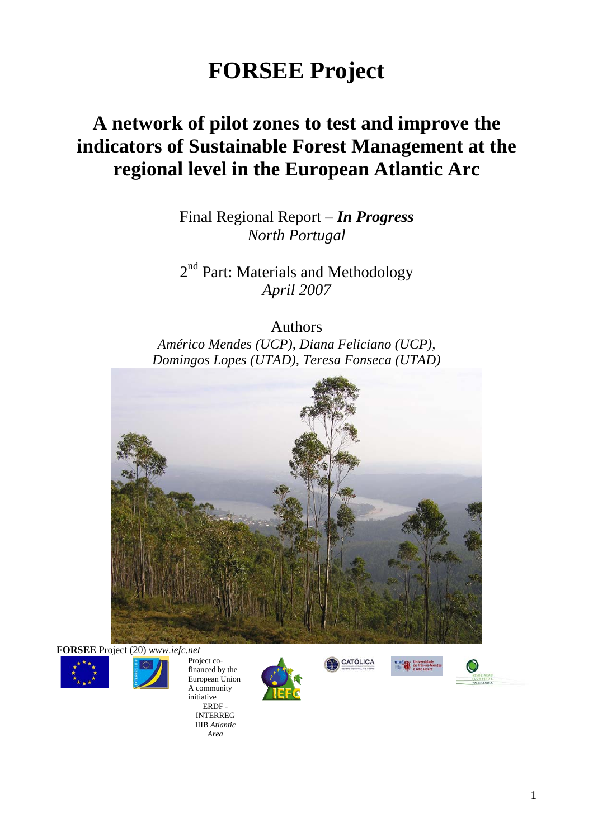# **FORSEE Project**

# **A network of pilot zones to test and improve the indicators of Sustainable Forest Management at the regional level in the European Atlantic Arc**

Final Regional Report – *In Progress North Portugal* 

2<sup>nd</sup> Part: Materials and Methodology *April 2007* 

Authors

*Américo Mendes (UCP), Diana Feliciano (UCP), Domingos Lopes (UTAD), Teresa Fonseca (UTAD)* 



**FORSEE** Project (20) *www.iefc.net*



Project cofinanced by the European Union A community initiative ERDF - INTERREG

> IIIB *Atlantic Area*





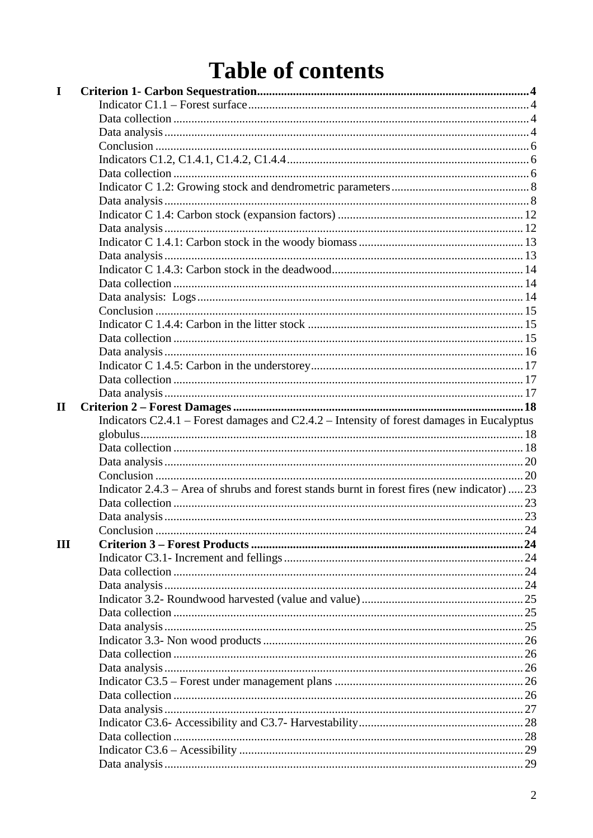# **Table of contents**

| I            |                                                                                               |  |
|--------------|-----------------------------------------------------------------------------------------------|--|
|              |                                                                                               |  |
|              |                                                                                               |  |
|              |                                                                                               |  |
|              |                                                                                               |  |
|              |                                                                                               |  |
|              |                                                                                               |  |
|              |                                                                                               |  |
|              |                                                                                               |  |
|              |                                                                                               |  |
|              |                                                                                               |  |
|              |                                                                                               |  |
|              |                                                                                               |  |
|              |                                                                                               |  |
|              |                                                                                               |  |
|              |                                                                                               |  |
|              |                                                                                               |  |
|              |                                                                                               |  |
|              |                                                                                               |  |
|              |                                                                                               |  |
|              |                                                                                               |  |
|              |                                                                                               |  |
|              |                                                                                               |  |
| $\mathbf{I}$ |                                                                                               |  |
|              |                                                                                               |  |
|              | Indicators $C2.4.1$ – Forest damages and $C2.4.2$ – Intensity of forest damages in Eucalyptus |  |
|              |                                                                                               |  |
|              |                                                                                               |  |
|              |                                                                                               |  |
|              |                                                                                               |  |
|              | Indicator 2.4.3 – Area of shrubs and forest stands burnt in forest fires (new indicator)  23  |  |
|              |                                                                                               |  |
|              |                                                                                               |  |
|              |                                                                                               |  |
| III          |                                                                                               |  |
|              |                                                                                               |  |
|              |                                                                                               |  |
|              |                                                                                               |  |
|              |                                                                                               |  |
|              |                                                                                               |  |
|              |                                                                                               |  |
|              |                                                                                               |  |
|              |                                                                                               |  |
|              |                                                                                               |  |
|              |                                                                                               |  |
|              |                                                                                               |  |
|              |                                                                                               |  |
|              |                                                                                               |  |
|              |                                                                                               |  |
|              |                                                                                               |  |
|              |                                                                                               |  |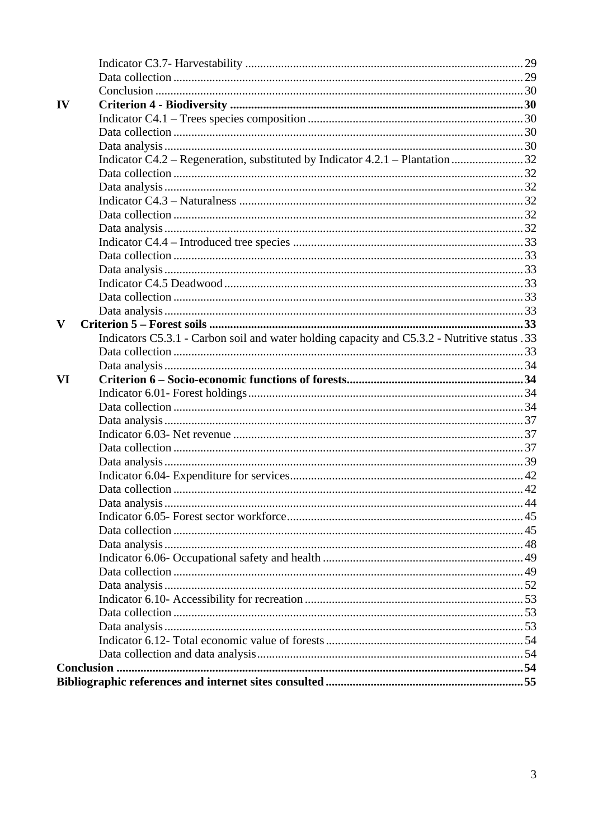| IV |                                                                                              |  |
|----|----------------------------------------------------------------------------------------------|--|
|    |                                                                                              |  |
|    |                                                                                              |  |
|    |                                                                                              |  |
|    |                                                                                              |  |
|    |                                                                                              |  |
|    |                                                                                              |  |
|    |                                                                                              |  |
|    |                                                                                              |  |
|    |                                                                                              |  |
|    |                                                                                              |  |
|    |                                                                                              |  |
|    |                                                                                              |  |
|    |                                                                                              |  |
|    |                                                                                              |  |
|    |                                                                                              |  |
| V  |                                                                                              |  |
|    | Indicators C5.3.1 - Carbon soil and water holding capacity and C5.3.2 - Nutritive status .33 |  |
|    |                                                                                              |  |
|    |                                                                                              |  |
|    |                                                                                              |  |
| VI |                                                                                              |  |
|    |                                                                                              |  |
|    |                                                                                              |  |
|    |                                                                                              |  |
|    |                                                                                              |  |
|    |                                                                                              |  |
|    |                                                                                              |  |
|    |                                                                                              |  |
|    |                                                                                              |  |
|    |                                                                                              |  |
|    |                                                                                              |  |
|    |                                                                                              |  |
|    |                                                                                              |  |
|    |                                                                                              |  |
|    |                                                                                              |  |
|    |                                                                                              |  |
|    |                                                                                              |  |
|    |                                                                                              |  |
|    |                                                                                              |  |
|    |                                                                                              |  |
|    |                                                                                              |  |
|    |                                                                                              |  |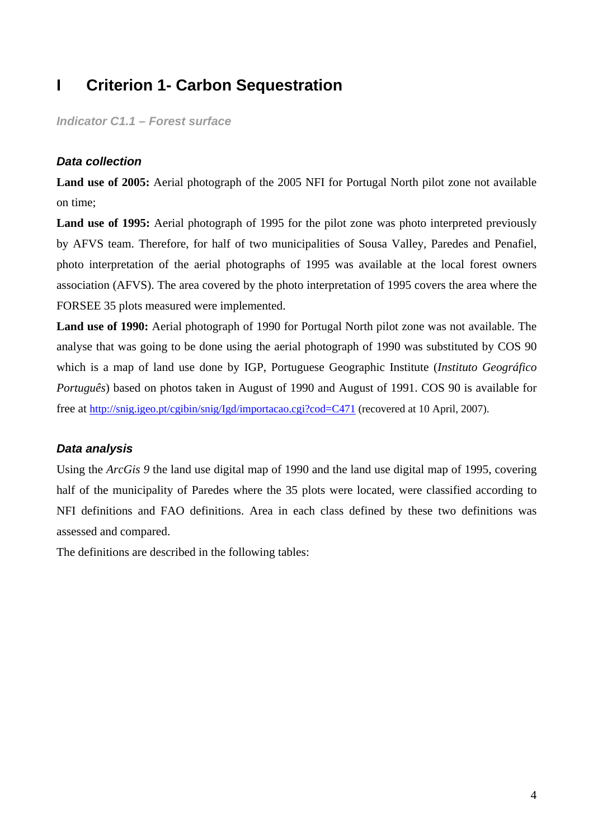# **I Criterion 1- Carbon Sequestration**

*Indicator C1.1 – Forest surface* 

#### *Data collection*

**Land use of 2005:** Aerial photograph of the 2005 NFI for Portugal North pilot zone not available on time;

Land use of 1995: Aerial photograph of 1995 for the pilot zone was photo interpreted previously by AFVS team. Therefore, for half of two municipalities of Sousa Valley, Paredes and Penafiel, photo interpretation of the aerial photographs of 1995 was available at the local forest owners association (AFVS). The area covered by the photo interpretation of 1995 covers the area where the FORSEE 35 plots measured were implemented.

**Land use of 1990:** Aerial photograph of 1990 for Portugal North pilot zone was not available. The analyse that was going to be done using the aerial photograph of 1990 was substituted by COS 90 which is a map of land use done by IGP, Portuguese Geographic Institute (*Instituto Geográfico Português*) based on photos taken in August of 1990 and August of 1991. COS 90 is available for free at http://snig.igeo.pt/cgibin/snig/Igd/importacao.cgi?cod=C471 (recovered at 10 April, 2007).

# *Data analysis*

Using the *ArcGis 9* the land use digital map of 1990 and the land use digital map of 1995, covering half of the municipality of Paredes where the 35 plots were located, were classified according to NFI definitions and FAO definitions. Area in each class defined by these two definitions was assessed and compared.

The definitions are described in the following tables: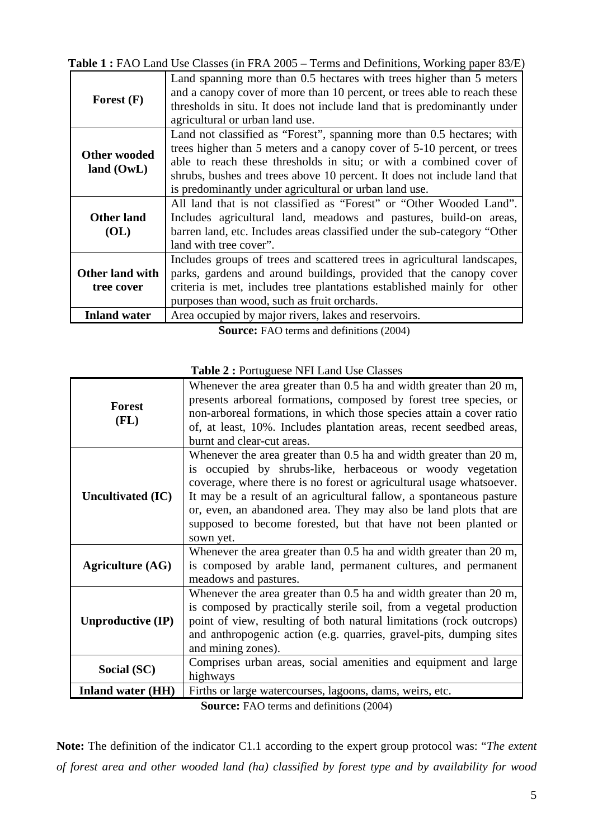**Table 1 :** FAO Land Use Classes (in FRA 2005 – Terms and Definitions, Working paper 83/E)

| Forest $(F)$                        | Land spanning more than 0.5 hectares with trees higher than 5 meters<br>and a canopy cover of more than 10 percent, or trees able to reach these<br>thresholds in situ. It does not include land that is predominantly under<br>agricultural or urban land use.                                                                                                |
|-------------------------------------|----------------------------------------------------------------------------------------------------------------------------------------------------------------------------------------------------------------------------------------------------------------------------------------------------------------------------------------------------------------|
| <b>Other wooded</b><br>land $(0wL)$ | Land not classified as "Forest", spanning more than 0.5 hectares; with<br>trees higher than 5 meters and a canopy cover of 5-10 percent, or trees<br>able to reach these thresholds in situ; or with a combined cover of<br>shrubs, bushes and trees above 10 percent. It does not include land that<br>is predominantly under agricultural or urban land use. |
| <b>Other land</b><br>(OL)           | All land that is not classified as "Forest" or "Other Wooded Land".<br>Includes agricultural land, meadows and pastures, build-on areas,<br>barren land, etc. Includes areas classified under the sub-category "Other<br>land with tree cover".                                                                                                                |
| Other land with<br>tree cover       | Includes groups of trees and scattered trees in agricultural landscapes,<br>parks, gardens and around buildings, provided that the canopy cover<br>criteria is met, includes tree plantations established mainly for other<br>purposes than wood, such as fruit orchards.                                                                                      |
| <b>Inland water</b>                 | Area occupied by major rivers, lakes and reservoirs.                                                                                                                                                                                                                                                                                                           |

**Source:** FAO terms and definitions (2004)

| <b>Forest</b><br>(FL)    | Whenever the area greater than 0.5 ha and width greater than 20 m,<br>presents arboreal formations, composed by forest tree species, or<br>non-arboreal formations, in which those species attain a cover ratio<br>of, at least, 10%. Includes plantation areas, recent seedbed areas,<br>burnt and clear-cut areas.                                                                                                                |
|--------------------------|-------------------------------------------------------------------------------------------------------------------------------------------------------------------------------------------------------------------------------------------------------------------------------------------------------------------------------------------------------------------------------------------------------------------------------------|
| <b>Uncultivated (IC)</b> | Whenever the area greater than 0.5 ha and width greater than 20 m,<br>is occupied by shrubs-like, herbaceous or woody vegetation<br>coverage, where there is no forest or agricultural usage whatsoever.<br>It may be a result of an agricultural fallow, a spontaneous pasture<br>or, even, an abandoned area. They may also be land plots that are<br>supposed to become forested, but that have not been planted or<br>sown yet. |
| <b>Agriculture (AG)</b>  | Whenever the area greater than 0.5 ha and width greater than 20 m,<br>is composed by arable land, permanent cultures, and permanent<br>meadows and pastures.                                                                                                                                                                                                                                                                        |
| <b>Unproductive (IP)</b> | Whenever the area greater than 0.5 ha and width greater than 20 m,<br>is composed by practically sterile soil, from a vegetal production<br>point of view, resulting of both natural limitations (rock outcrops)<br>and anthropogenic action (e.g. quarries, gravel-pits, dumping sites<br>and mining zones).                                                                                                                       |
| Social (SC)              | Comprises urban areas, social amenities and equipment and large<br>highways                                                                                                                                                                                                                                                                                                                                                         |
| <b>Inland water (HH)</b> | Firths or large watercourses, lagoons, dams, weirs, etc.                                                                                                                                                                                                                                                                                                                                                                            |

**Table 2 :** Portuguese NFI Land Use Classes

**Source:** FAO terms and definitions (2004)

**Note:** The definition of the indicator C1.1 according to the expert group protocol was: "*The extent of forest area and other wooded land (ha) classified by forest type and by availability for wood*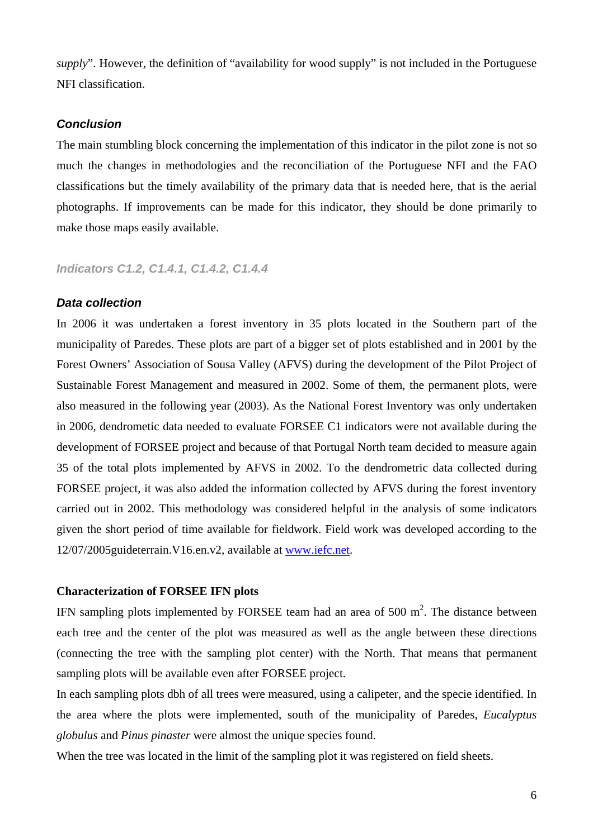*supply*". However, the definition of "availability for wood supply" is not included in the Portuguese NFI classification.

#### *Conclusion*

The main stumbling block concerning the implementation of this indicator in the pilot zone is not so much the changes in methodologies and the reconciliation of the Portuguese NFI and the FAO classifications but the timely availability of the primary data that is needed here, that is the aerial photographs. If improvements can be made for this indicator, they should be done primarily to make those maps easily available.

*Indicators C1.2, C1.4.1, C1.4.2, C1.4.4* 

#### *Data collection*

In 2006 it was undertaken a forest inventory in 35 plots located in the Southern part of the municipality of Paredes. These plots are part of a bigger set of plots established and in 2001 by the Forest Owners' Association of Sousa Valley (AFVS) during the development of the Pilot Project of Sustainable Forest Management and measured in 2002. Some of them, the permanent plots, were also measured in the following year (2003). As the National Forest Inventory was only undertaken in 2006, dendrometic data needed to evaluate FORSEE C1 indicators were not available during the development of FORSEE project and because of that Portugal North team decided to measure again 35 of the total plots implemented by AFVS in 2002. To the dendrometric data collected during FORSEE project, it was also added the information collected by AFVS during the forest inventory carried out in 2002. This methodology was considered helpful in the analysis of some indicators given the short period of time available for fieldwork. Field work was developed according to the 12/07/2005guideterrain.V16.en.v2, available at www.iefc.net.

#### **Characterization of FORSEE IFN plots**

IFN sampling plots implemented by FORSEE team had an area of 500  $m^2$ . The distance between each tree and the center of the plot was measured as well as the angle between these directions (connecting the tree with the sampling plot center) with the North. That means that permanent sampling plots will be available even after FORSEE project.

In each sampling plots dbh of all trees were measured, using a calipeter, and the specie identified. In the area where the plots were implemented, south of the municipality of Paredes, *Eucalyptus globulus* and *Pinus pinaster* were almost the unique species found.

When the tree was located in the limit of the sampling plot it was registered on field sheets.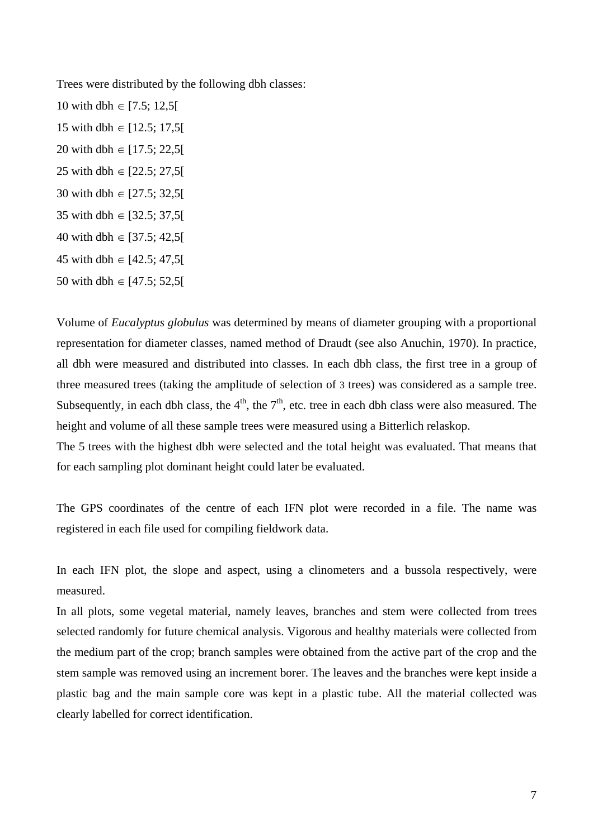Trees were distributed by the following dbh classes:

10 with dbh ∈ [7.5; 12,5] 15 with dbh ∈ [12.5; 17,5[ 20 with dbh  $\in$  [17.5; 22,5] 25 with dbh  $\in$  [22.5; 27,5] 30 with dbh ∈ [27.5; 32,5[ 35 with dbh ∈ [32.5; 37,5[ 40 with dbh  $\in$  [37.5; 42.5] 45 with dbh ∈  $[42.5; 47.5]$ 50 with dbh ∈ [47.5; 52,5[

Volume of *Eucalyptus globulus* was determined by means of diameter grouping with a proportional representation for diameter classes, named method of Draudt (see also Anuchin, 1970). In practice, all dbh were measured and distributed into classes. In each dbh class, the first tree in a group of three measured trees (taking the amplitude of selection of 3 trees) was considered as a sample tree. Subsequently, in each dbh class, the  $4<sup>th</sup>$ , the  $7<sup>th</sup>$ , etc. tree in each dbh class were also measured. The height and volume of all these sample trees were measured using a Bitterlich relaskop.

The 5 trees with the highest dbh were selected and the total height was evaluated. That means that for each sampling plot dominant height could later be evaluated.

The GPS coordinates of the centre of each IFN plot were recorded in a file. The name was registered in each file used for compiling fieldwork data.

In each IFN plot, the slope and aspect, using a clinometers and a bussola respectively, were measured.

In all plots, some vegetal material, namely leaves, branches and stem were collected from trees selected randomly for future chemical analysis. Vigorous and healthy materials were collected from the medium part of the crop; branch samples were obtained from the active part of the crop and the stem sample was removed using an increment borer. The leaves and the branches were kept inside a plastic bag and the main sample core was kept in a plastic tube. All the material collected was clearly labelled for correct identification.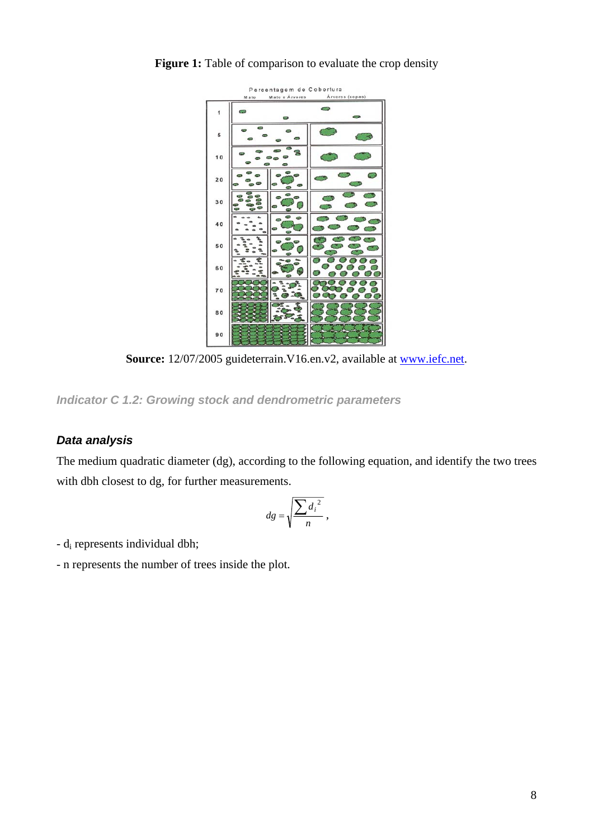

**Figure 1:** Table of comparison to evaluate the crop density

Source: 12/07/2005 guideterrain. V16.en.v2, available at www.iefc.net.

*Indicator C 1.2: Growing stock and dendrometric parameters* 

# *Data analysis*

The medium quadratic diameter (dg), according to the following equation, and identify the two trees with dbh closest to dg, for further measurements.

$$
dg = \sqrt{\frac{\sum d_i^2}{n}},
$$

- di represents individual dbh;

- n represents the number of trees inside the plot.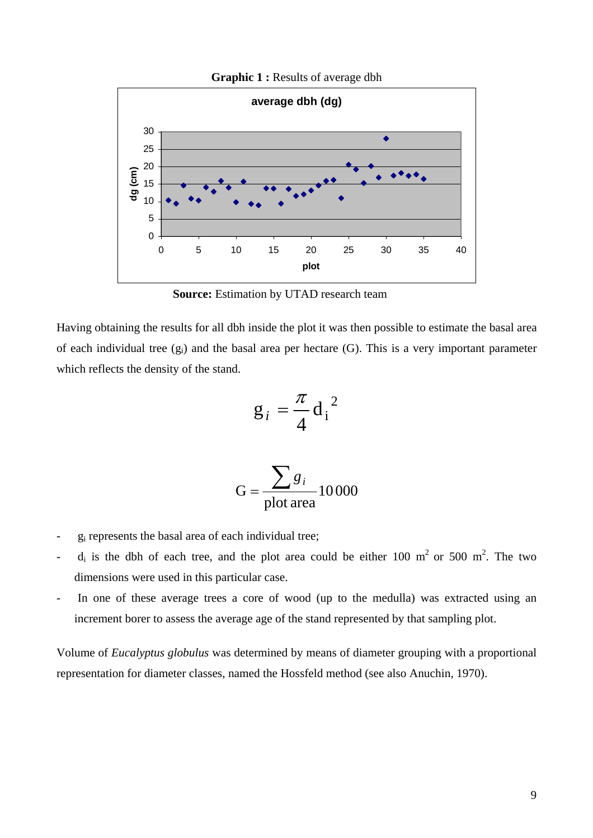

Graphic 1 : Results of average dbh

**Source:** Estimation by UTAD research team

Having obtaining the results for all dbh inside the plot it was then possible to estimate the basal area of each individual tree  $(g_i)$  and the basal area per hectare (G). This is a very important parameter which reflects the density of the stand.

$$
g_i = \frac{\pi}{4} d_i^2
$$

$$
G = \frac{\sum g_i}{\text{plot area}} 10000
$$

- $g_i$  represents the basal area of each individual tree;
- $d_i$  is the dbh of each tree, and the plot area could be either 100 m<sup>2</sup> or 500 m<sup>2</sup>. The two dimensions were used in this particular case.
- In one of these average trees a core of wood (up to the medulla) was extracted using an increment borer to assess the average age of the stand represented by that sampling plot.

Volume of *Eucalyptus globulus* was determined by means of diameter grouping with a proportional representation for diameter classes, named the Hossfeld method (see also Anuchin, 1970).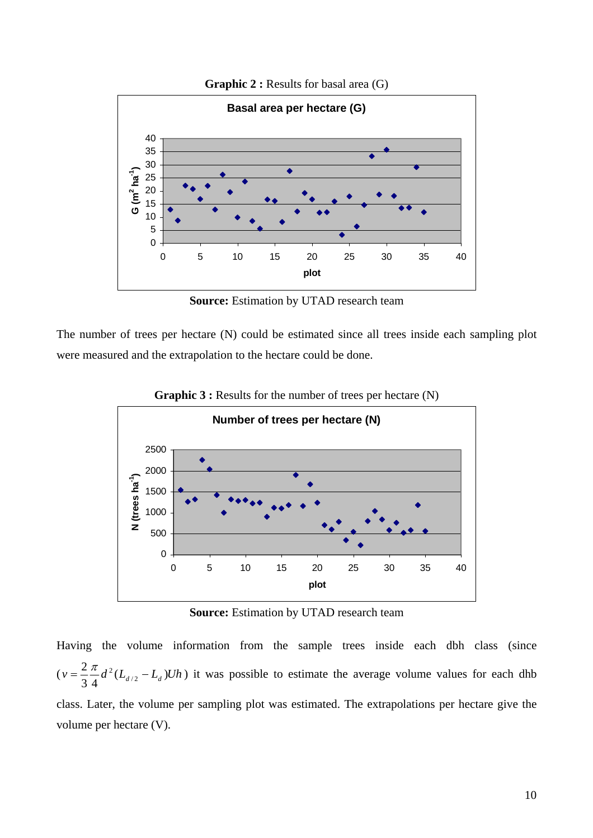

**Graphic 2 : Results for basal area (G)** 

**Source:** Estimation by UTAD research team

The number of trees per hectare (N) could be estimated since all trees inside each sampling plot were measured and the extrapolation to the hectare could be done.



**Graphic 3 :** Results for the number of trees per hectare (N)

**Source:** Estimation by UTAD research team

Having the volume information from the sample trees inside each dbh class (since  $(v = \frac{2\pi}{3} \frac{d}{4} d^2 (L_{d/2} - L_d) U h$ 2  $=\frac{2\pi}{3}d^2(L_{d/2}-L_d)Uh$ ) it was possible to estimate the average volume values for each dhb class. Later, the volume per sampling plot was estimated. The extrapolations per hectare give the volume per hectare (V).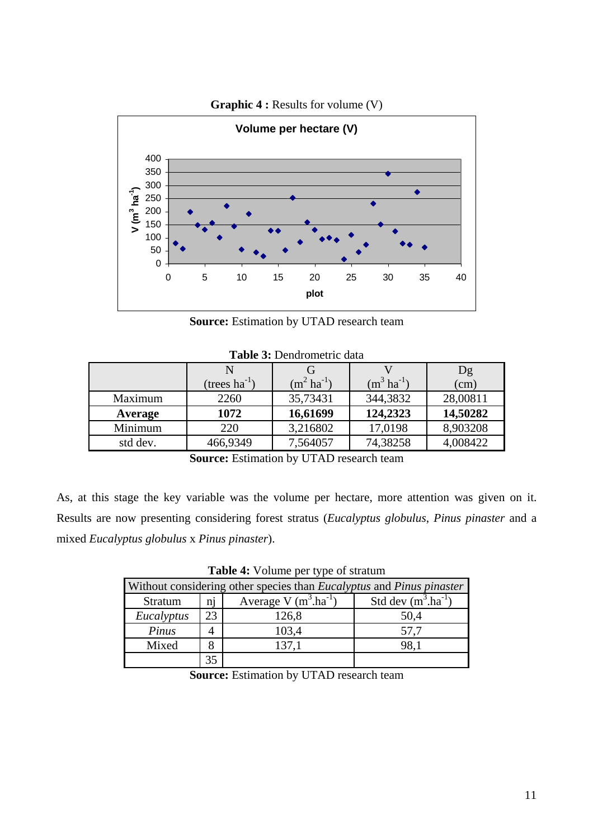

**Graphic 4 : Results for volume (V)** 

**Source:** Estimation by UTAD research team

|          |                    |                         |                         | Dg       |  |  |  |
|----------|--------------------|-------------------------|-------------------------|----------|--|--|--|
|          | (trees $ha^{-1}$ ) | $(m^2 \text{ ha}^{-1})$ | $(m^3 \text{ ha}^{-1})$ | (cm)     |  |  |  |
| Maximum  | 2260               | 35,73431                | 344,3832                | 28,00811 |  |  |  |
| Average  | 1072               | 16,61699                | 124,2323                | 14,50282 |  |  |  |
| Minimum  | 220                | 3,216802                | 17,0198                 | 8,903208 |  |  |  |
| std dev. | 466,9349           | 7,564057                | 74,38258                | 4,008422 |  |  |  |
|          |                    |                         |                         |          |  |  |  |

**Table 3:** Dendrometric data

**Source:** Estimation by UTAD research team

As, at this stage the key variable was the volume per hectare, more attention was given on it. Results are now presenting considering forest stratus (*Eucalyptus globulus*, *Pinus pinaster* and a mixed *Eucalyptus globulus* x *Pinus pinaster*).

| Without considering other species than <i>Eucalyptus</i> and <i>Pinus pinaster</i> |    |       |      |  |  |  |  |
|------------------------------------------------------------------------------------|----|-------|------|--|--|--|--|
| Average V $(m^3.ha^{-1})$<br>Std dev $(m^3.ha^{-1})$<br>ni<br><b>Stratum</b>       |    |       |      |  |  |  |  |
| Eucalyptus                                                                         | 23 | 126,8 | 50,4 |  |  |  |  |
| Pinus                                                                              |    | 103,4 | 57.7 |  |  |  |  |
| Mixed                                                                              |    | 137,1 | 98,1 |  |  |  |  |
|                                                                                    |    |       |      |  |  |  |  |

**Table 4:** Volume per type of stratum

**Source:** Estimation by UTAD research team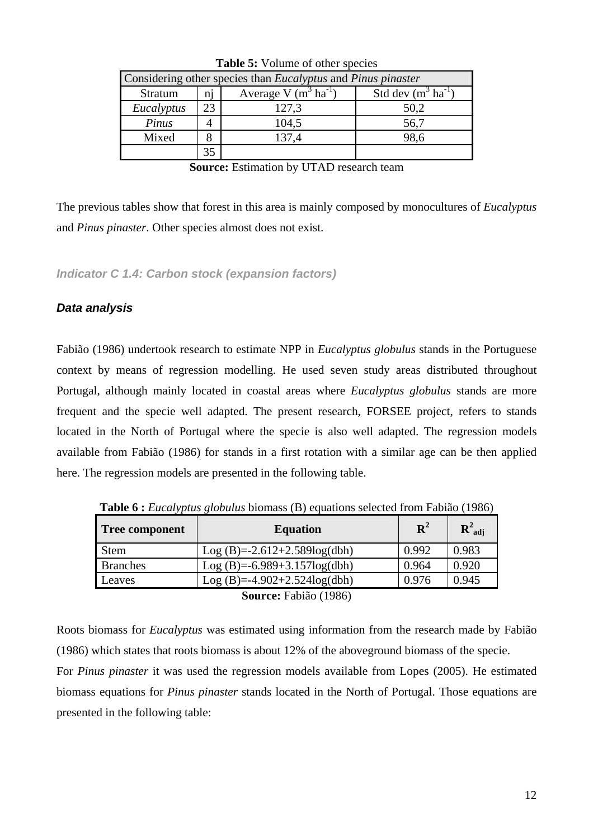| $\sim$ which is a contracted to the specific state in the set of $\sim$                                  |    |       |      |  |  |  |
|----------------------------------------------------------------------------------------------------------|----|-------|------|--|--|--|
| Considering other species than <i>Eucalyptus</i> and <i>Pinus pinaster</i>                               |    |       |      |  |  |  |
| Average V $(m^3 \text{ ha}^{-1})$<br>Std dev $(m^3 \text{ ha}^{-1})$<br><b>Stratum</b><br>n <sub>1</sub> |    |       |      |  |  |  |
| Eucalyptus                                                                                               | 23 | 127,3 | 50,2 |  |  |  |
| Pinus                                                                                                    |    | 104,5 | 56,7 |  |  |  |
| Mixed                                                                                                    |    | 137,4 | 98,6 |  |  |  |
|                                                                                                          |    |       |      |  |  |  |

|  | Table 5: Volume of other species |  |
|--|----------------------------------|--|
|  |                                  |  |

**Source:** Estimation by UTAD research team

The previous tables show that forest in this area is mainly composed by monocultures of *Eucalyptus* and *Pinus pinaster*. Other species almost does not exist.

*Indicator C 1.4: Carbon stock (expansion factors)* 

# *Data analysis*

Fabião (1986) undertook research to estimate NPP in *Eucalyptus globulus* stands in the Portuguese context by means of regression modelling. He used seven study areas distributed throughout Portugal, although mainly located in coastal areas where *Eucalyptus globulus* stands are more frequent and the specie well adapted. The present research, FORSEE project, refers to stands located in the North of Portugal where the specie is also well adapted. The regression models available from Fabião (1986) for stands in a first rotation with a similar age can be then applied here. The regression models are presented in the following table.

| <b>Tree component</b>    | <b>Equation</b>                  | ${\bf R}^2$ | $R^2_{\text{adi}}$ |  |  |  |
|--------------------------|----------------------------------|-------------|--------------------|--|--|--|
| Stem                     | $Log(B)=2.612+2.589log(dbh)$     | 0.992       | 0.983              |  |  |  |
| <b>Branches</b>          | Log (B)= $-6.989+3.157\log(dbh)$ | 0.964       | 0.920              |  |  |  |
| Leaves                   | $Log(B)=-4.902+2.524log(dbh)$    | 0.976       | 0.945              |  |  |  |
| $S$ ource: Eshião (1986) |                                  |             |                    |  |  |  |

**Table 6 :** *Eucalyptus globulus* biomass (B) equations selected from Fabião (1986)

**Source:** Fabião (1986)

Roots biomass for *Eucalyptus* was estimated using information from the research made by Fabião (1986) which states that roots biomass is about 12% of the aboveground biomass of the specie.

For *Pinus pinaster* it was used the regression models available from Lopes (2005). He estimated biomass equations for *Pinus pinaster* stands located in the North of Portugal. Those equations are presented in the following table: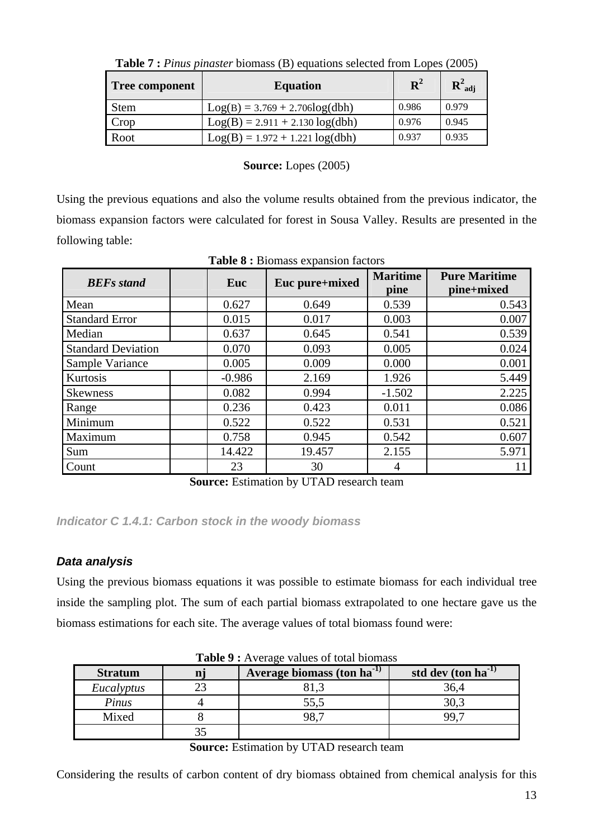| Tree component | <b>Equation</b>                   | $\mathbf{R}^2$ | $R^2_{\text{adi}}$ |
|----------------|-----------------------------------|----------------|--------------------|
| <b>Stem</b>    | $Log(B) = 3.769 + 2.706log(dbh)$  | 0.986          | 0.979              |
| Crop           | $Log(B) = 2.911 + 2.130 log(dbh)$ | 0.976          | 0.945              |
| Root           | $Log(B) = 1.972 + 1.221 log(dbh)$ | 0.937          | 0.935              |

|  | <b>Table 7:</b> Pinus pinaster biomass (B) equations selected from Lopes (2005) |  |
|--|---------------------------------------------------------------------------------|--|
|  |                                                                                 |  |

# **Source:** Lopes (2005)

Using the previous equations and also the volume results obtained from the previous indicator, the biomass expansion factors were calculated for forest in Sousa Valley. Results are presented in the following table:

| <b>BEFs</b> stand         | Euc      | Euc pure+mixed | <b>Maritime</b><br>pine | <b>Pure Maritime</b><br>pine+mixed |
|---------------------------|----------|----------------|-------------------------|------------------------------------|
| Mean                      | 0.627    | 0.649          | 0.539                   | 0.543                              |
| <b>Standard Error</b>     | 0.015    | 0.017          | 0.003                   | 0.007                              |
| Median                    | 0.637    | 0.645          | 0.541                   | 0.539                              |
| <b>Standard Deviation</b> | 0.070    | 0.093          | 0.005                   | 0.024                              |
| Sample Variance           | 0.005    | 0.009          | 0.000                   | 0.001                              |
| Kurtosis                  | $-0.986$ | 2.169          | 1.926                   | 5.449                              |
| <b>Skewness</b>           | 0.082    | 0.994          | $-1.502$                | 2.225                              |
| Range                     | 0.236    | 0.423          | 0.011                   | 0.086                              |
| Minimum                   | 0.522    | 0.522          | 0.531                   | 0.521                              |
| Maximum                   | 0.758    | 0.945          | 0.542                   | 0.607                              |
| Sum                       | 14.422   | 19.457         | 2.155                   | 5.971                              |
| Count                     | 23       | 30             | 4                       |                                    |

**Table 8 :** Biomass expansion factors

**Source:** Estimation by UTAD research team

*Indicator C 1.4.1: Carbon stock in the woody biomass* 

# *Data analysis*

Using the previous biomass equations it was possible to estimate biomass for each individual tree inside the sampling plot. The sum of each partial biomass extrapolated to one hectare gave us the biomass estimations for each site. The average values of total biomass found were:

| <b>Stratum</b> | Average biomass (ton ha <sup>-1)</sup> | std dev $(\text{ton ha}^{-1})$ |
|----------------|----------------------------------------|--------------------------------|
| Eucalyptus     |                                        | 36,4                           |
| Pinus          | 55,5                                   | 30,3                           |
| Mixed          | 98.7                                   | 99.                            |
|                |                                        |                                |

**Table 9 :** Average values of total biomass

Considering the results of carbon content of dry biomass obtained from chemical analysis for this

**Source:** Estimation by UTAD research team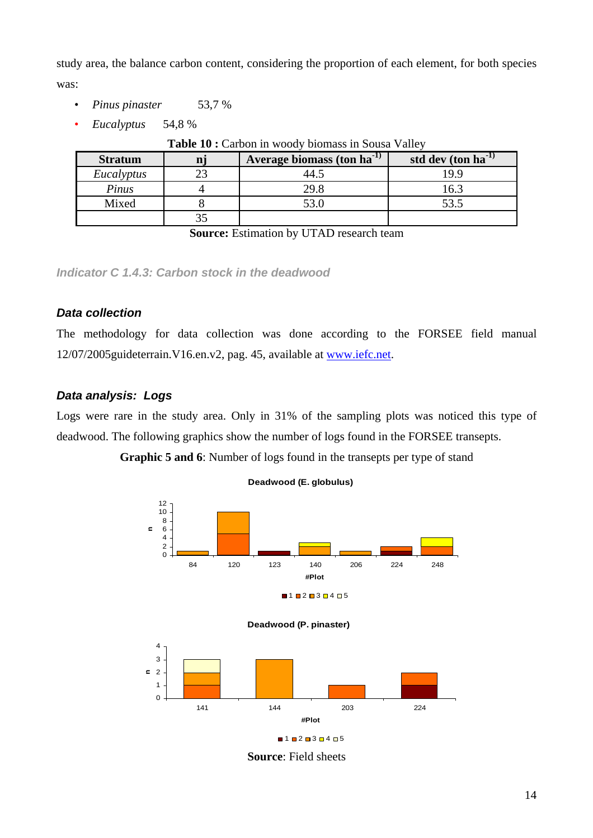study area, the balance carbon content, considering the proportion of each element, for both species was:

- *Pinus pinaster* 53,7 %
- *Eucalyptus* 54,8 %

| Table 10 : Carbon in woody biomass in Sousa Valley |  |  |  |  |
|----------------------------------------------------|--|--|--|--|
|                                                    |  |  |  |  |

| <b>Stratum</b> | Average biomass (ton ha <sup>-1)</sup> | std dev (ton ha <sup>-1)</sup> |
|----------------|----------------------------------------|--------------------------------|
| Eucalyptus     |                                        | 19.9                           |
| Pinus          | 29.8                                   | 16.3                           |
| Mixed          | 53.0                                   | 53.5                           |
|                |                                        |                                |

**Source:** Estimation by UTAD research team

*Indicator C 1.4.3: Carbon stock in the deadwood* 

# *Data collection*

The methodology for data collection was done according to the FORSEE field manual 12/07/2005guideterrain.V16.en.v2, pag. 45, available at www.iefc.net.

# *Data analysis: Logs*

Logs were rare in the study area. Only in 31% of the sampling plots was noticed this type of deadwood. The following graphics show the number of logs found in the FORSEE transepts.

**Graphic 5 and 6**: Number of logs found in the transepts per type of stand



**Deadwood (E. globulus)**





**Source**: Field sheets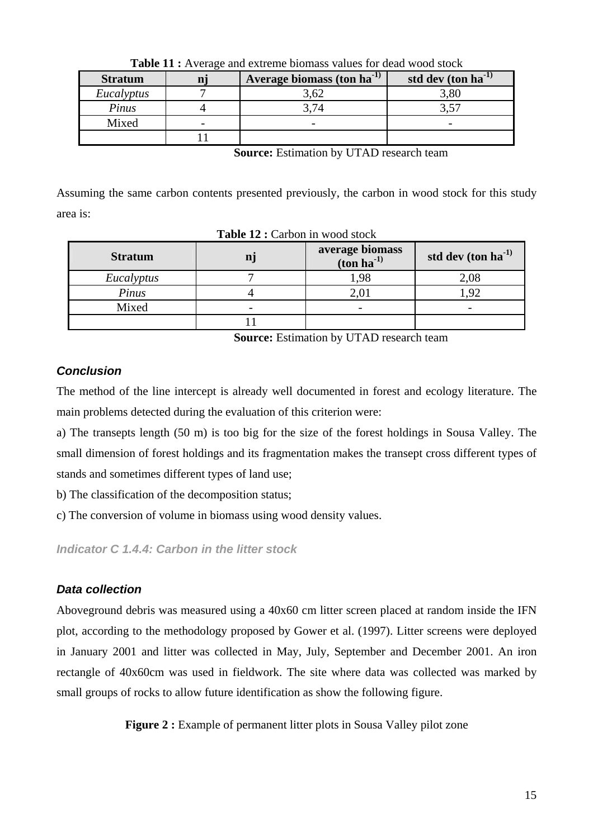| <b>Stratum</b> |                          | Average biomass (ton ha <sup>-1)</sup> | std dev $(\text{ton ha}^{-1})$ |
|----------------|--------------------------|----------------------------------------|--------------------------------|
| Eucalyptus     |                          | 3,62                                   | 3,80                           |
| Pinus          |                          | 3.74                                   |                                |
| Mixed          | $\overline{\phantom{0}}$ | $\overline{\phantom{0}}$               |                                |
|                |                          |                                        |                                |

**Table 11 :** Average and extreme biomass values for dead wood stock

**Source:** Estimation by UTAD research team

Assuming the same carbon contents presented previously, the carbon in wood stock for this study area is:

| <b>Stratum</b> | average biomass<br>$(\text{ton ha}^{-1})$ | std dev $(\text{ton ha}^{-1})$ |
|----------------|-------------------------------------------|--------------------------------|
| Eucalyptus     | ,98                                       | 2,08                           |
| Pinus          |                                           | 92                             |
| Mixed          |                                           |                                |
|                |                                           |                                |

**Table 12 : Carbon in wood stock** 

**Source:** Estimation by UTAD research team

# *Conclusion*

The method of the line intercept is already well documented in forest and ecology literature. The main problems detected during the evaluation of this criterion were:

a) The transepts length (50 m) is too big for the size of the forest holdings in Sousa Valley. The small dimension of forest holdings and its fragmentation makes the transept cross different types of stands and sometimes different types of land use;

b) The classification of the decomposition status;

c) The conversion of volume in biomass using wood density values.

*Indicator C 1.4.4: Carbon in the litter stock* 

# *Data collection*

Aboveground debris was measured using a 40x60 cm litter screen placed at random inside the IFN plot, according to the methodology proposed by Gower et al. (1997). Litter screens were deployed in January 2001 and litter was collected in May, July, September and December 2001. An iron rectangle of 40x60cm was used in fieldwork. The site where data was collected was marked by small groups of rocks to allow future identification as show the following figure.

**Figure 2 :** Example of permanent litter plots in Sousa Valley pilot zone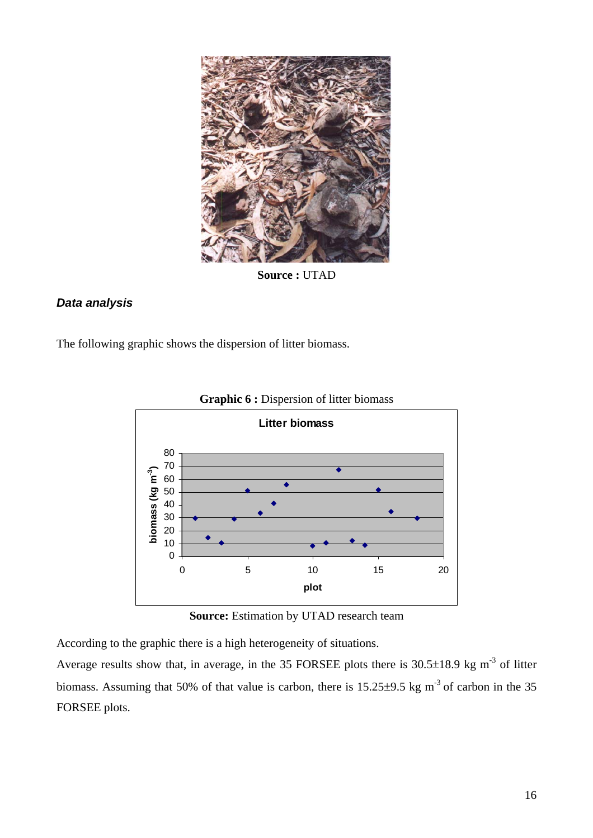

**Source :** UTAD

# *Data analysis*

The following graphic shows the dispersion of litter biomass.



**Graphic 6 :** Dispersion of litter biomass

**Source:** Estimation by UTAD research team

According to the graphic there is a high heterogeneity of situations.

Average results show that, in average, in the 35 FORSEE plots there is 30.5±18.9 kg m<sup>-3</sup> of litter biomass. Assuming that 50% of that value is carbon, there is  $15.25\pm9.5$  kg m<sup>-3</sup> of carbon in the 35 FORSEE plots.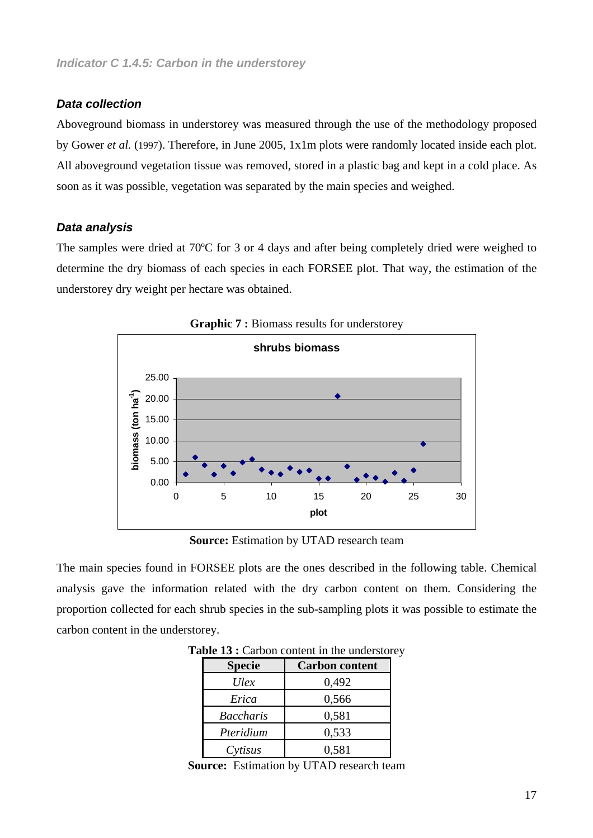#### *Data collection*

Aboveground biomass in understorey was measured through the use of the methodology proposed by Gower *et al.* (1997). Therefore, in June 2005, 1x1m plots were randomly located inside each plot. All aboveground vegetation tissue was removed, stored in a plastic bag and kept in a cold place. As soon as it was possible, vegetation was separated by the main species and weighed.

#### *Data analysis*

The samples were dried at 70ºC for 3 or 4 days and after being completely dried were weighed to determine the dry biomass of each species in each FORSEE plot. That way, the estimation of the understorey dry weight per hectare was obtained.



**Graphic 7 :** Biomass results for understorey

**Source:** Estimation by UTAD research team

The main species found in FORSEE plots are the ones described in the following table. Chemical analysis gave the information related with the dry carbon content on them. Considering the proportion collected for each shrub species in the sub-sampling plots it was possible to estimate the carbon content in the understorey.

| <b>Specie</b>    | <b>Carbon content</b> |
|------------------|-----------------------|
| Ulex             | 0,492                 |
| Erica            | 0,566                 |
| <b>Baccharis</b> | 0,581                 |
| Pteridium        | 0,533                 |
| Cytisus          | 0,581                 |

Table 13 : Carbon content in the understorey

**Source:** Estimation by UTAD research team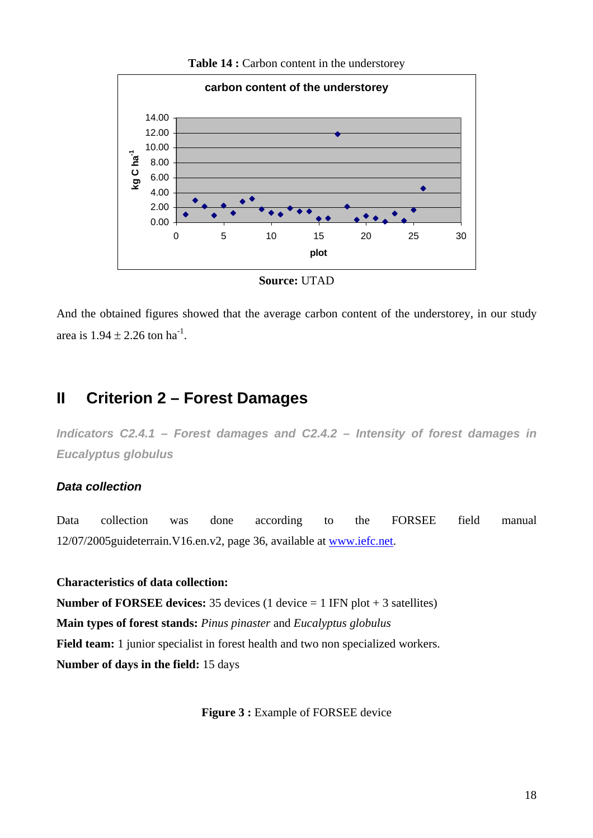

Table 14 : Carbon content in the understorey

And the obtained figures showed that the average carbon content of the understorey, in our study area is  $1.94 \pm 2.26$  ton ha<sup>-1</sup>.

# **II Criterion 2 – Forest Damages**

*Indicators C2.4.1 – Forest damages and C2.4.2 – Intensity of forest damages in Eucalyptus globulus* 

# *Data collection*

Data collection was done according to the FORSEE field manual 12/07/2005guideterrain.V16.en.v2, page 36, available at www.iefc.net.

**Characteristics of data collection: Number of FORSEE devices:** 35 devices (1 device = 1 IFN plot + 3 satellites) **Main types of forest stands:** *Pinus pinaster* and *Eucalyptus globulus* **Field team:** 1 junior specialist in forest health and two non specialized workers. **Number of days in the field:** 15 days

**Figure 3 : Example of FORSEE device**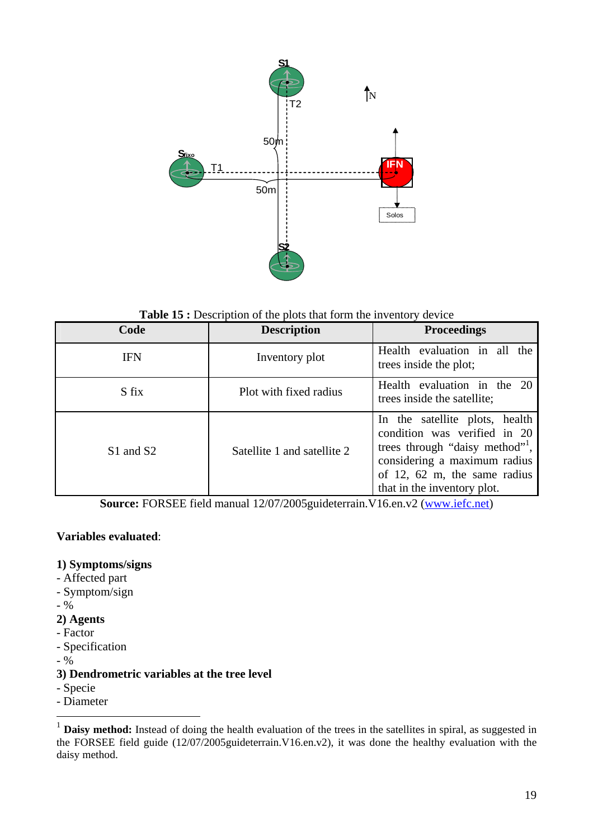

Table 15 : Description of the plots that form the inventory device

| Code                              | <b>Description</b>          | <b>Proceedings</b>                                                                                                                                                                             |
|-----------------------------------|-----------------------------|------------------------------------------------------------------------------------------------------------------------------------------------------------------------------------------------|
| <b>IFN</b>                        | Inventory plot              | Health evaluation in all the<br>trees inside the plot;                                                                                                                                         |
| S fix                             | Plot with fixed radius      | Health evaluation in the 20<br>trees inside the satellite;                                                                                                                                     |
| S <sub>1</sub> and S <sub>2</sub> | Satellite 1 and satellite 2 | In the satellite plots, health<br>condition was verified in 20<br>trees through "daisy method",<br>considering a maximum radius<br>of 12, 62 m, the same radius<br>that in the inventory plot. |

**Source:** FORSEE field manual 12/07/2005guideterrain.V16.en.v2 (www.iefc.net)

# **Variables evaluated**:

#### **1) Symptoms/signs**

- Affected part
- Symptom/sign
- %
- **2) Agents**
- Factor
- Specification
- $9/6$

# **3) Dendrometric variables at the tree level**

- Specie

- Diameter

<sup>&</sup>lt;sup>1</sup> **Daisy method:** Instead of doing the health evaluation of the trees in the satellites in spiral, as suggested in the FORSEE field guide (12/07/2005guideterrain.V16.en.v2), it was done the healthy evaluation with the daisy method.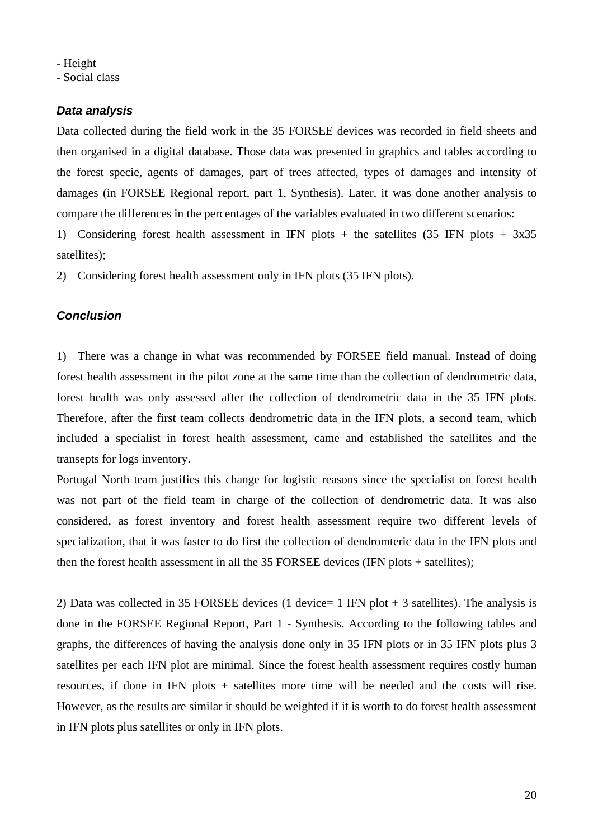- Height

- Social class

# *Data analysis*

Data collected during the field work in the 35 FORSEE devices was recorded in field sheets and then organised in a digital database. Those data was presented in graphics and tables according to the forest specie, agents of damages, part of trees affected, types of damages and intensity of damages (in FORSEE Regional report, part 1, Synthesis). Later, it was done another analysis to compare the differences in the percentages of the variables evaluated in two different scenarios:

1) Considering forest health assessment in IFN plots + the satellites (35 IFN plots + 3x35 satellites);

2) Considering forest health assessment only in IFN plots (35 IFN plots).

# *Conclusion*

1) There was a change in what was recommended by FORSEE field manual. Instead of doing forest health assessment in the pilot zone at the same time than the collection of dendrometric data, forest health was only assessed after the collection of dendrometric data in the 35 IFN plots. Therefore, after the first team collects dendrometric data in the IFN plots, a second team, which included a specialist in forest health assessment, came and established the satellites and the transepts for logs inventory.

Portugal North team justifies this change for logistic reasons since the specialist on forest health was not part of the field team in charge of the collection of dendrometric data. It was also considered, as forest inventory and forest health assessment require two different levels of specialization, that it was faster to do first the collection of dendromteric data in the IFN plots and then the forest health assessment in all the 35 FORSEE devices (IFN plots + satellites);

2) Data was collected in 35 FORSEE devices (1 device= 1 IFN plot + 3 satellites). The analysis is done in the FORSEE Regional Report, Part 1 - Synthesis. According to the following tables and graphs, the differences of having the analysis done only in 35 IFN plots or in 35 IFN plots plus 3 satellites per each IFN plot are minimal. Since the forest health assessment requires costly human resources, if done in IFN plots + satellites more time will be needed and the costs will rise. However, as the results are similar it should be weighted if it is worth to do forest health assessment in IFN plots plus satellites or only in IFN plots.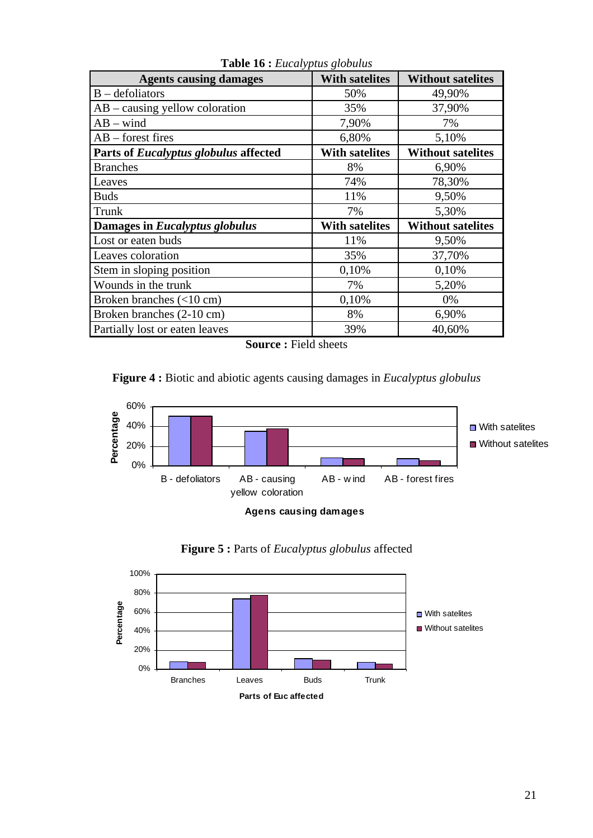| <b>Agents causing damages</b>                | <b>With satelites</b> | <b>Without satelites</b> |
|----------------------------------------------|-----------------------|--------------------------|
| $B - defoliators$                            | 50%                   | 49,90%                   |
| $AB - causing$ yellow coloration             | 35%                   | 37,90%                   |
| $AB - wind$                                  | 7,90%                 | 7%                       |
| $AB - forest$ fires                          | 6,80%                 | 5,10%                    |
| Parts of <i>Eucalyptus globulus</i> affected | <b>With satelites</b> | <b>Without satelites</b> |
| <b>Branches</b>                              | 8%                    | 6,90%                    |
| Leaves                                       | 74%                   | 78,30%                   |
| <b>Buds</b>                                  | 11%                   | 9,50%                    |
| Trunk                                        | 7%                    | 5,30%                    |
| Damages in Eucalyptus globulus               | <b>With satelites</b> | <b>Without satelites</b> |
| Lost or eaten buds                           | 11%                   | 9,50%                    |
| Leaves coloration                            | 35%                   | 37,70%                   |
| Stem in sloping position                     | 0,10%                 | 0,10%                    |
| Wounds in the trunk                          | 7%                    | 5,20%                    |
| Broken branches (<10 cm)                     | 0,10%                 | 0%                       |
| Broken branches (2-10 cm)                    | 8%                    | 6,90%                    |
| Partially lost or eaten leaves               | 39%                   | 40,60%                   |

**Table 16 :** *Eucalyptus globulus*

**Source :** Field sheets







**Figure 5 :** Parts of *Eucalyptus globulus* affected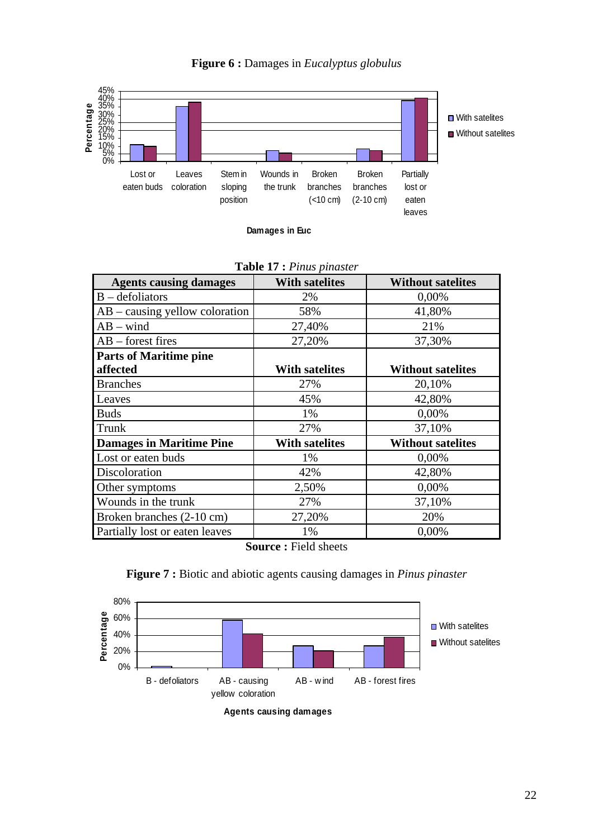



**Damages in Euc**

|                                  | <b>LAURE 17 C</b> L <i>HIMS PHIMSIC</i> |                          |
|----------------------------------|-----------------------------------------|--------------------------|
| <b>Agents causing damages</b>    | <b>With satelites</b>                   | <b>Without satelites</b> |
| $B - defoliators$                | 2%                                      | 0,00%                    |
| $AB - causing$ yellow coloration | 58%                                     | 41,80%                   |
| $AB - wind$                      | 27,40%                                  | 21%                      |
| $AB - forest$ fires              | 27,20%                                  | 37,30%                   |
| <b>Parts of Maritime pine</b>    |                                         |                          |
| affected                         | <b>With satelites</b>                   | <b>Without satelites</b> |
| <b>Branches</b>                  | 27%                                     | 20,10%                   |
| Leaves                           | 45%                                     | 42,80%                   |
| <b>Buds</b>                      | 1%                                      | 0,00%                    |
| Trunk                            | 27%                                     | 37,10%                   |
| <b>Damages in Maritime Pine</b>  | <b>With satelites</b>                   | <b>Without satelites</b> |
| Lost or eaten buds               | 1%                                      | 0,00%                    |
| Discoloration                    | 42%                                     | 42,80%                   |
| Other symptoms                   | 2,50%                                   | 0,00%                    |
| Wounds in the trunk              | 27%                                     | 37,10%                   |
| Broken branches (2-10 cm)        | 27,20%                                  | 20%                      |
| Partially lost or eaten leaves   | 1%                                      | 0,00%                    |
|                                  | <b>11.</b> 1. 1. 1.                     |                          |

| Table 17 : Pinus pinaster |  |  |
|---------------------------|--|--|
|---------------------------|--|--|

**Source :** Field sheets



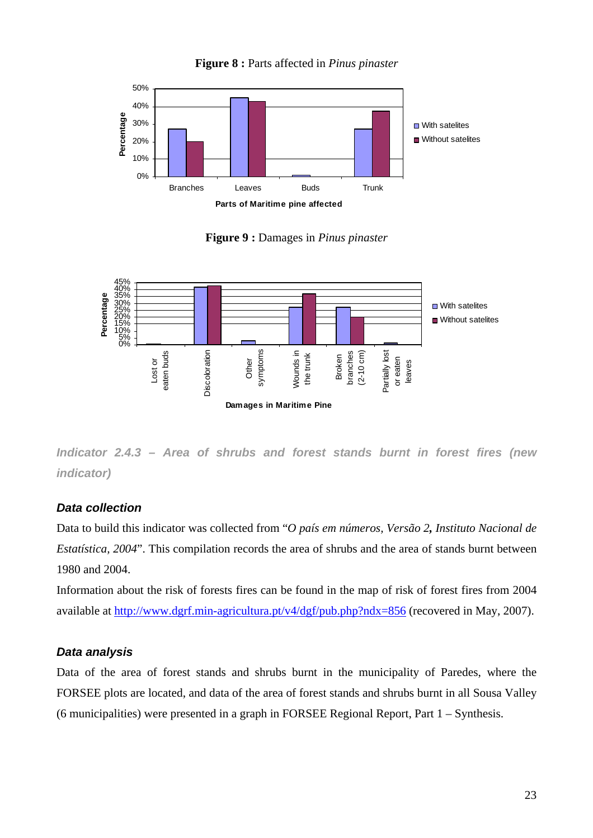

**Figure 8 :** Parts affected in *Pinus pinaster*

**Figure 9 :** Damages in *Pinus pinaster*



*Indicator 2.4.3 – Area of shrubs and forest stands burnt in forest fires (new indicator)*

# *Data collection*

Data to build this indicator was collected from "*O país em números, Versão 2, Instituto Nacional de Estatística, 2004*". This compilation records the area of shrubs and the area of stands burnt between 1980 and 2004.

Information about the risk of forests fires can be found in the map of risk of forest fires from 2004 available at http://www.dgrf.min-agricultura.pt/v4/dgf/pub.php?ndx=856 (recovered in May, 2007).

# *Data analysis*

Data of the area of forest stands and shrubs burnt in the municipality of Paredes, where the FORSEE plots are located, and data of the area of forest stands and shrubs burnt in all Sousa Valley (6 municipalities) were presented in a graph in FORSEE Regional Report, Part 1 – Synthesis.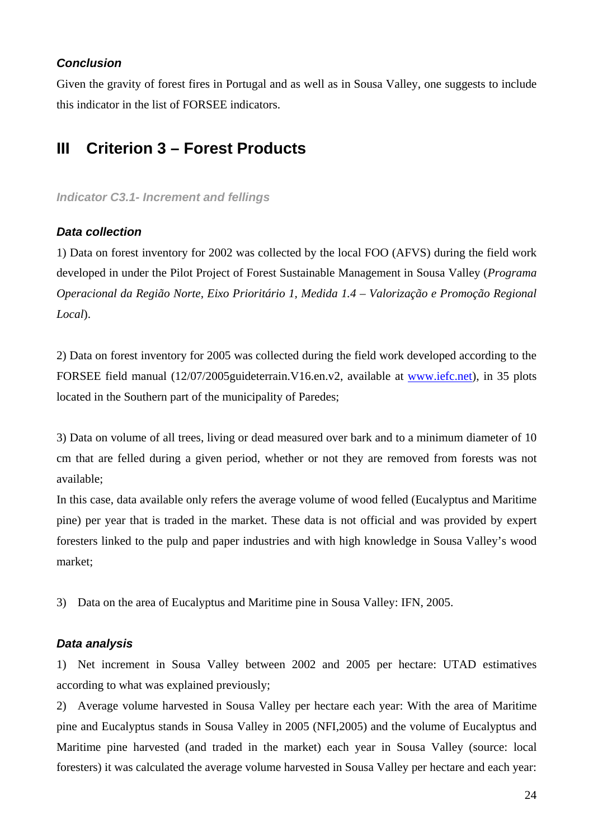# *Conclusion*

Given the gravity of forest fires in Portugal and as well as in Sousa Valley, one suggests to include this indicator in the list of FORSEE indicators.

# **III Criterion 3 – Forest Products**

#### *Indicator C3.1- Increment and fellings*

# *Data collection*

1) Data on forest inventory for 2002 was collected by the local FOO (AFVS) during the field work developed in under the Pilot Project of Forest Sustainable Management in Sousa Valley (*Programa Operacional da Região Norte, Eixo Prioritário 1, Medida 1.4 – Valorização e Promoção Regional Local*).

2) Data on forest inventory for 2005 was collected during the field work developed according to the FORSEE field manual (12/07/2005guideterrain.V16.en.v2, available at www.iefc.net), in 35 plots located in the Southern part of the municipality of Paredes;

3) Data on volume of all trees, living or dead measured over bark and to a minimum diameter of 10 cm that are felled during a given period, whether or not they are removed from forests was not available;

In this case, data available only refers the average volume of wood felled (Eucalyptus and Maritime pine) per year that is traded in the market. These data is not official and was provided by expert foresters linked to the pulp and paper industries and with high knowledge in Sousa Valley's wood market;

3) Data on the area of Eucalyptus and Maritime pine in Sousa Valley: IFN, 2005.

# *Data analysis*

1) Net increment in Sousa Valley between 2002 and 2005 per hectare: UTAD estimatives according to what was explained previously;

2) Average volume harvested in Sousa Valley per hectare each year: With the area of Maritime pine and Eucalyptus stands in Sousa Valley in 2005 (NFI,2005) and the volume of Eucalyptus and Maritime pine harvested (and traded in the market) each year in Sousa Valley (source: local foresters) it was calculated the average volume harvested in Sousa Valley per hectare and each year: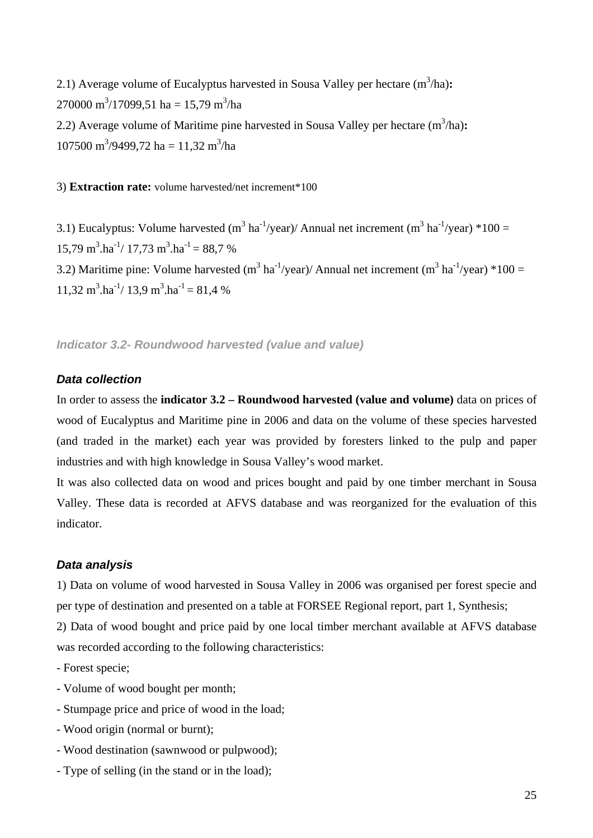2.1) Average volume of Eucalyptus harvested in Sousa Valley per hectare  $(m^3/ha)$ : 270000 m<sup>3</sup>/17099,51 ha = 15,79 m<sup>3</sup>/ha 2.2) Average volume of Maritime pine harvested in Sousa Valley per hectare  $(m^3/ha)$ :  $107500 \text{ m}^3/9499,72 \text{ ha} = 11,32 \text{ m}^3/\text{ha}$ 

3) **Extraction rate:** volume harvested/net increment\*100

3.1) Eucalyptus: Volume harvested (m<sup>3</sup> ha<sup>-1</sup>/year)/ Annual net increment (m<sup>3</sup> ha<sup>-1</sup>/year) \*100 =  $15,79 \text{ m}^3.\text{ha}^{-1}/ 17,73 \text{ m}^3.\text{ha}^{-1} = 88,7 \%$ 3.2) Maritime pine: Volume harvested (m<sup>3</sup> ha<sup>-1</sup>/year)/ Annual net increment (m<sup>3</sup> ha<sup>-1</sup>/year) \*100 =  $11,32 \text{ m}^3.\text{ha}^{-1}/ 13,9 \text{ m}^3.\text{ha}^{-1} = 81,4 \text{ %}$ 

*Indicator 3.2- Roundwood harvested (value and value)* 

# *Data collection*

In order to assess the **indicator 3.2 – Roundwood harvested (value and volume)** data on prices of wood of Eucalyptus and Maritime pine in 2006 and data on the volume of these species harvested (and traded in the market) each year was provided by foresters linked to the pulp and paper industries and with high knowledge in Sousa Valley's wood market.

It was also collected data on wood and prices bought and paid by one timber merchant in Sousa Valley. These data is recorded at AFVS database and was reorganized for the evaluation of this indicator.

# *Data analysis*

1) Data on volume of wood harvested in Sousa Valley in 2006 was organised per forest specie and per type of destination and presented on a table at FORSEE Regional report, part 1, Synthesis;

2) Data of wood bought and price paid by one local timber merchant available at AFVS database was recorded according to the following characteristics:

- Forest specie;
- Volume of wood bought per month;
- Stumpage price and price of wood in the load;
- Wood origin (normal or burnt);
- Wood destination (sawnwood or pulpwood);
- Type of selling (in the stand or in the load);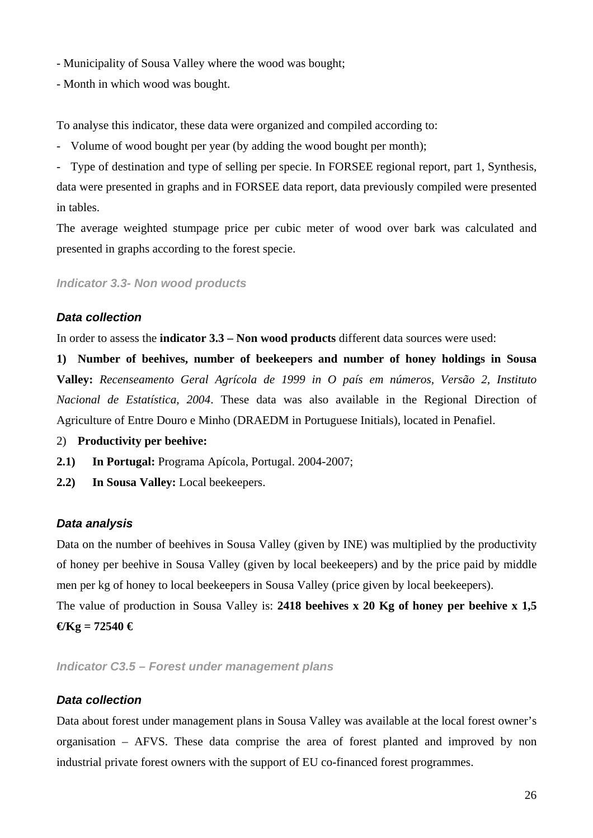- Municipality of Sousa Valley where the wood was bought;
- Month in which wood was bought.

To analyse this indicator, these data were organized and compiled according to:

- Volume of wood bought per year (by adding the wood bought per month);

- Type of destination and type of selling per specie. In FORSEE regional report, part 1, Synthesis, data were presented in graphs and in FORSEE data report, data previously compiled were presented in tables.

The average weighted stumpage price per cubic meter of wood over bark was calculated and presented in graphs according to the forest specie.

*Indicator 3.3- Non wood products* 

#### *Data collection*

In order to assess the **indicator 3.3 – Non wood products** different data sources were used:

**1) Number of beehives, number of beekeepers and number of honey holdings in Sousa Valley:** *Recenseamento Geral Agrícola de 1999 in O país em números, Versão 2, Instituto Nacional de Estatística, 2004*. These data was also available in the Regional Direction of Agriculture of Entre Douro e Minho (DRAEDM in Portuguese Initials), located in Penafiel.

2) **Productivity per beehive:** 

- **2.1) In Portugal:** Programa Apícola, Portugal. 2004-2007;
- **2.2) In Sousa Valley:** Local beekeepers.

#### *Data analysis*

Data on the number of beehives in Sousa Valley (given by INE) was multiplied by the productivity of honey per beehive in Sousa Valley (given by local beekeepers) and by the price paid by middle men per kg of honey to local beekeepers in Sousa Valley (price given by local beekeepers).

The value of production in Sousa Valley is: **2418 beehives x 20 Kg of honey per beehive x 1,5**   $\mathbf{\Theta}$ Kg = 72540  $\mathbf{\Theta}$ 

*Indicator C3.5 – Forest under management plans* 

#### *Data collection*

Data about forest under management plans in Sousa Valley was available at the local forest owner's organisation – AFVS. These data comprise the area of forest planted and improved by non industrial private forest owners with the support of EU co-financed forest programmes.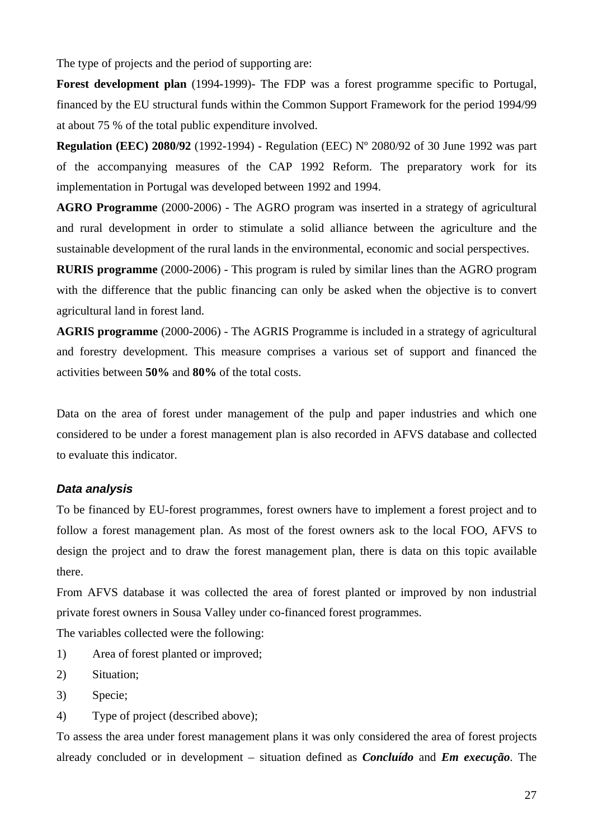The type of projects and the period of supporting are:

**Forest development plan** (1994-1999)- The FDP was a forest programme specific to Portugal, financed by the EU structural funds within the Common Support Framework for the period 1994/99 at about 75 % of the total public expenditure involved.

**Regulation (EEC) 2080/92** (1992-1994) - Regulation (EEC) Nº 2080/92 of 30 June 1992 was part of the accompanying measures of the CAP 1992 Reform. The preparatory work for its implementation in Portugal was developed between 1992 and 1994.

**AGRO Programme** (2000-2006) - The AGRO program was inserted in a strategy of agricultural and rural development in order to stimulate a solid alliance between the agriculture and the sustainable development of the rural lands in the environmental, economic and social perspectives.

**RURIS programme** (2000-2006) - This program is ruled by similar lines than the AGRO program with the difference that the public financing can only be asked when the objective is to convert agricultural land in forest land.

**AGRIS programme** (2000-2006) - The AGRIS Programme is included in a strategy of agricultural and forestry development. This measure comprises a various set of support and financed the activities between **50%** and **80%** of the total costs.

Data on the area of forest under management of the pulp and paper industries and which one considered to be under a forest management plan is also recorded in AFVS database and collected to evaluate this indicator.

#### *Data analysis*

To be financed by EU-forest programmes, forest owners have to implement a forest project and to follow a forest management plan. As most of the forest owners ask to the local FOO, AFVS to design the project and to draw the forest management plan, there is data on this topic available there.

From AFVS database it was collected the area of forest planted or improved by non industrial private forest owners in Sousa Valley under co-financed forest programmes.

The variables collected were the following:

- 1) Area of forest planted or improved;
- 2) Situation;
- 3) Specie;
- 4) Type of project (described above);

To assess the area under forest management plans it was only considered the area of forest projects already concluded or in development – situation defined as *Concluído* and *Em execução*. The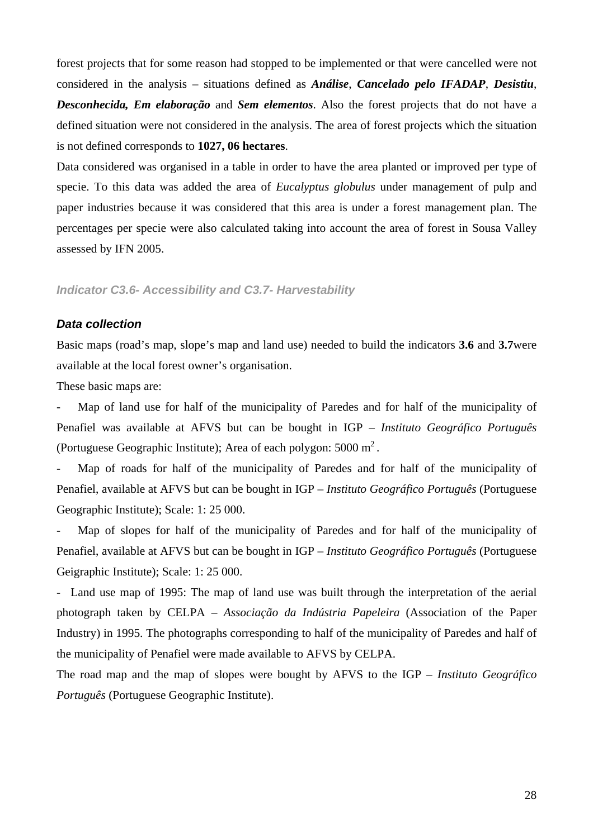forest projects that for some reason had stopped to be implemented or that were cancelled were not considered in the analysis – situations defined as *Análise*, *Cancelado pelo IFADAP*, *Desistiu*, *Desconhecida, Em elaboração* and *Sem elementos*. Also the forest projects that do not have a defined situation were not considered in the analysis. The area of forest projects which the situation is not defined corresponds to **1027, 06 hectares**.

Data considered was organised in a table in order to have the area planted or improved per type of specie. To this data was added the area of *Eucalyptus globulus* under management of pulp and paper industries because it was considered that this area is under a forest management plan. The percentages per specie were also calculated taking into account the area of forest in Sousa Valley assessed by IFN 2005.

# *Indicator C3.6- Accessibility and C3.7- Harvestability*

#### *Data collection*

Basic maps (road's map, slope's map and land use) needed to build the indicators **3.6** and **3.7**were available at the local forest owner's organisation.

These basic maps are:

Map of land use for half of the municipality of Paredes and for half of the municipality of Penafiel was available at AFVS but can be bought in IGP – *Instituto Geográfico Português* (Portuguese Geographic Institute); Area of each polygon: 5000 m2 .

Map of roads for half of the municipality of Paredes and for half of the municipality of Penafiel, available at AFVS but can be bought in IGP – *Instituto Geográfico Português* (Portuguese Geographic Institute); Scale: 1: 25 000.

Map of slopes for half of the municipality of Paredes and for half of the municipality of Penafiel, available at AFVS but can be bought in IGP – *Instituto Geográfico Português* (Portuguese Geigraphic Institute); Scale: 1: 25 000.

- Land use map of 1995: The map of land use was built through the interpretation of the aerial photograph taken by CELPA – *Associação da Indústria Papeleira* (Association of the Paper Industry) in 1995. The photographs corresponding to half of the municipality of Paredes and half of the municipality of Penafiel were made available to AFVS by CELPA.

The road map and the map of slopes were bought by AFVS to the IGP – *Instituto Geográfico Português* (Portuguese Geographic Institute).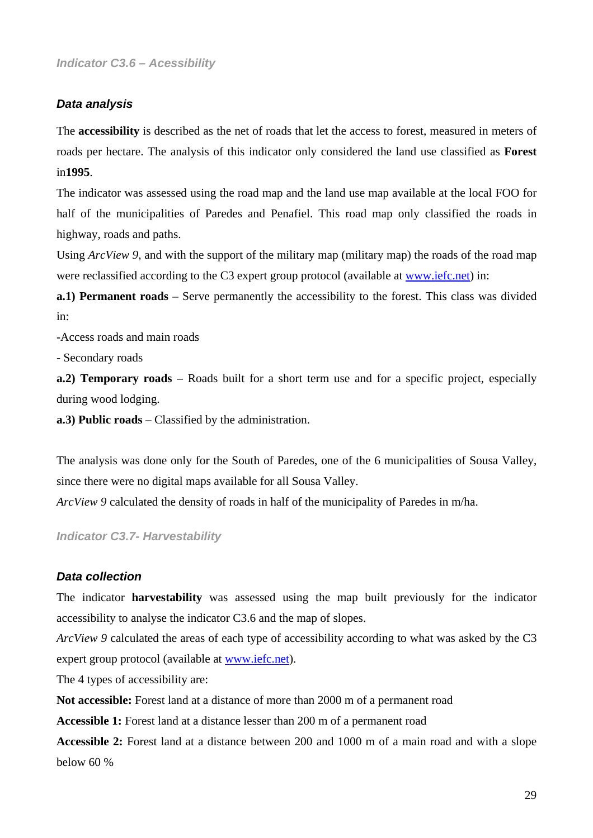#### *Data analysis*

The **accessibility** is described as the net of roads that let the access to forest, measured in meters of roads per hectare. The analysis of this indicator only considered the land use classified as **Forest**  in**1995**.

The indicator was assessed using the road map and the land use map available at the local FOO for half of the municipalities of Paredes and Penafiel. This road map only classified the roads in highway, roads and paths.

Using *ArcView 9*, and with the support of the military map (military map) the roads of the road map were reclassified according to the C3 expert group protocol (available at www.iefc.net) in:

**a.1) Permanent roads** – Serve permanently the accessibility to the forest. This class was divided in:

-Access roads and main roads

- Secondary roads

**a.2) Temporary roads** – Roads built for a short term use and for a specific project, especially during wood lodging.

**a.3) Public roads** – Classified by the administration.

The analysis was done only for the South of Paredes, one of the 6 municipalities of Sousa Valley, since there were no digital maps available for all Sousa Valley.

*ArcView 9* calculated the density of roads in half of the municipality of Paredes in m/ha.

*Indicator C3.7- Harvestability* 

#### *Data collection*

The indicator **harvestability** was assessed using the map built previously for the indicator accessibility to analyse the indicator C3.6 and the map of slopes.

*ArcView 9* calculated the areas of each type of accessibility according to what was asked by the C3 expert group protocol (available at www.iefc.net).

The 4 types of accessibility are:

**Not accessible:** Forest land at a distance of more than 2000 m of a permanent road

**Accessible 1:** Forest land at a distance lesser than 200 m of a permanent road

**Accessible 2:** Forest land at a distance between 200 and 1000 m of a main road and with a slope below 60 %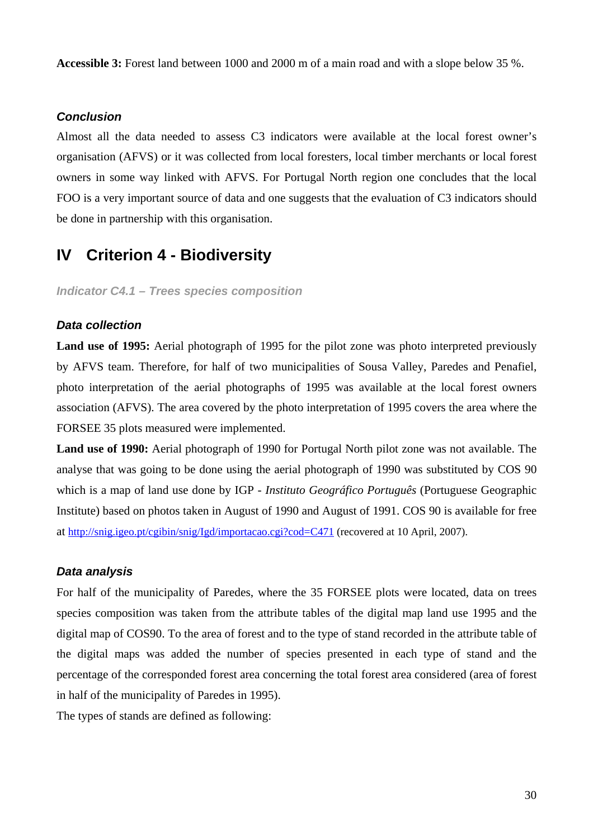**Accessible 3:** Forest land between 1000 and 2000 m of a main road and with a slope below 35 %.

#### *Conclusion*

Almost all the data needed to assess C3 indicators were available at the local forest owner's organisation (AFVS) or it was collected from local foresters, local timber merchants or local forest owners in some way linked with AFVS. For Portugal North region one concludes that the local FOO is a very important source of data and one suggests that the evaluation of C3 indicators should be done in partnership with this organisation.

# **IV Criterion 4 - Biodiversity**

*Indicator C4.1 – Trees species composition* 

#### *Data collection*

Land use of 1995: Aerial photograph of 1995 for the pilot zone was photo interpreted previously by AFVS team. Therefore, for half of two municipalities of Sousa Valley, Paredes and Penafiel, photo interpretation of the aerial photographs of 1995 was available at the local forest owners association (AFVS). The area covered by the photo interpretation of 1995 covers the area where the FORSEE 35 plots measured were implemented.

**Land use of 1990:** Aerial photograph of 1990 for Portugal North pilot zone was not available. The analyse that was going to be done using the aerial photograph of 1990 was substituted by COS 90 which is a map of land use done by IGP - *Instituto Geográfico Português* (Portuguese Geographic Institute) based on photos taken in August of 1990 and August of 1991. COS 90 is available for free at http://snig.igeo.pt/cgibin/snig/Igd/importacao.cgi?cod=C471 (recovered at 10 April, 2007).

#### *Data analysis*

For half of the municipality of Paredes, where the 35 FORSEE plots were located, data on trees species composition was taken from the attribute tables of the digital map land use 1995 and the digital map of COS90. To the area of forest and to the type of stand recorded in the attribute table of the digital maps was added the number of species presented in each type of stand and the percentage of the corresponded forest area concerning the total forest area considered (area of forest in half of the municipality of Paredes in 1995).

The types of stands are defined as following: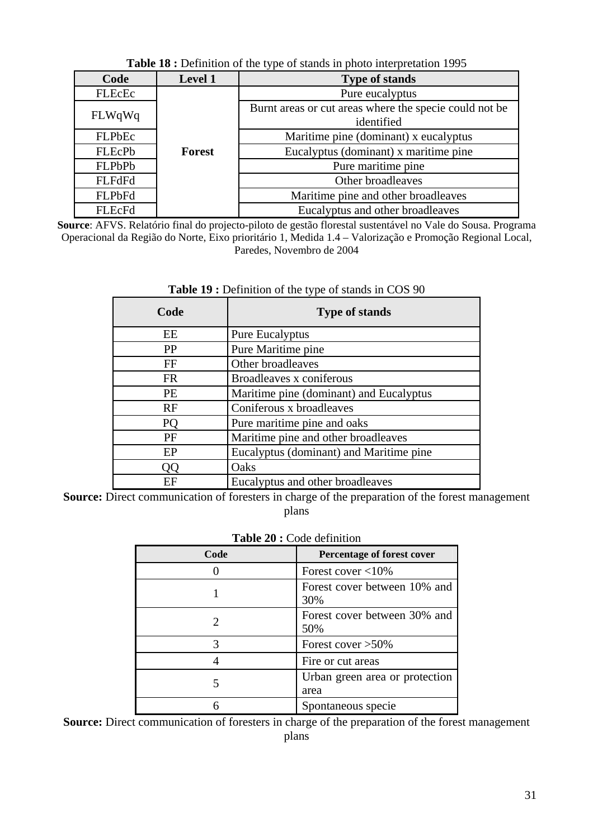| Code          | Level 1                          | <b>Type of stands</b>                                                |
|---------------|----------------------------------|----------------------------------------------------------------------|
| FLEcEc        |                                  | Pure eucalyptus                                                      |
| FLWqWq        |                                  | Burnt areas or cut areas where the specie could not be<br>identified |
| FLPbEc        |                                  | Maritime pine (dominant) x eucalyptus                                |
| FLEcPb        | Forest                           | Eucalyptus (dominant) x maritime pine                                |
| <b>FLPbPb</b> |                                  | Pure maritime pine                                                   |
| <b>FLFdFd</b> |                                  | Other broadleaves                                                    |
| <b>FLPbFd</b> |                                  | Maritime pine and other broadleaves                                  |
| FLEcFd        | Eucalyptus and other broadleaves |                                                                      |

**Table 18 :** Definition of the type of stands in photo interpretation 1995

**Source**: AFVS. Relatório final do projecto-piloto de gestão florestal sustentável no Vale do Sousa. Programa Operacional da Região do Norte, Eixo prioritário 1, Medida 1.4 – Valorização e Promoção Regional Local, Paredes, Novembro de 2004

| Code      | <b>Type of stands</b>                   |
|-----------|-----------------------------------------|
| EE        | Pure Eucalyptus                         |
| PP        | Pure Maritime pine                      |
| FF        | Other broadleaves                       |
| <b>FR</b> | Broadleaves x coniferous                |
| <b>PE</b> | Maritime pine (dominant) and Eucalyptus |
| RF        | Coniferous x broadleaves                |
| PQ        | Pure maritime pine and oaks             |
| PF        | Maritime pine and other broadleaves     |
| EP        | Eucalyptus (dominant) and Maritime pine |
| OО        | Oaks                                    |
| ЕF        | Eucalyptus and other broadleaves        |

#### Table 19 : Definition of the type of stands in COS 90

**Source:** Direct communication of foresters in charge of the preparation of the forest management plans

#### **Table 20 :** Code definition

| Code | Percentage of forest cover             |
|------|----------------------------------------|
|      | Forest cover $<$ 10%                   |
|      | Forest cover between 10% and<br>30%    |
|      | Forest cover between 30% and<br>50%    |
| 3    | Forest cover $>50\%$                   |
|      | Fire or cut areas                      |
|      | Urban green area or protection<br>area |
|      | Spontaneous specie                     |

**Source:** Direct communication of foresters in charge of the preparation of the forest management plans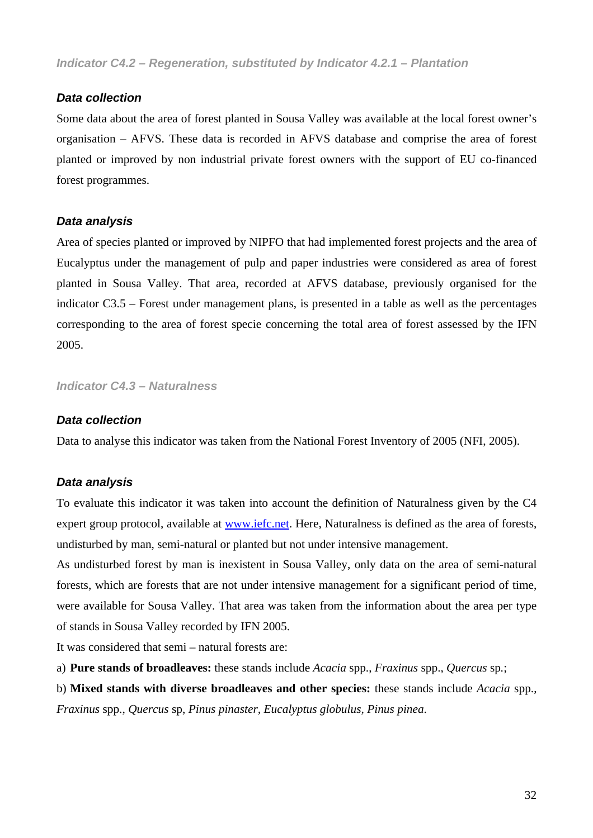#### *Data collection*

Some data about the area of forest planted in Sousa Valley was available at the local forest owner's organisation – AFVS. These data is recorded in AFVS database and comprise the area of forest planted or improved by non industrial private forest owners with the support of EU co-financed forest programmes.

#### *Data analysis*

Area of species planted or improved by NIPFO that had implemented forest projects and the area of Eucalyptus under the management of pulp and paper industries were considered as area of forest planted in Sousa Valley. That area, recorded at AFVS database, previously organised for the indicator C3.5 – Forest under management plans, is presented in a table as well as the percentages corresponding to the area of forest specie concerning the total area of forest assessed by the IFN 2005.

*Indicator C4.3 – Naturalness* 

#### *Data collection*

Data to analyse this indicator was taken from the National Forest Inventory of 2005 (NFI, 2005).

# *Data analysis*

To evaluate this indicator it was taken into account the definition of Naturalness given by the C4 expert group protocol, available at www.iefc.net. Here, Naturalness is defined as the area of forests, undisturbed by man, semi-natural or planted but not under intensive management.

As undisturbed forest by man is inexistent in Sousa Valley, only data on the area of semi-natural forests, which are forests that are not under intensive management for a significant period of time, were available for Sousa Valley. That area was taken from the information about the area per type of stands in Sousa Valley recorded by IFN 2005.

It was considered that semi – natural forests are:

a) **Pure stands of broadleaves:** these stands include *Acacia* spp., *Fraxinus* spp., *Quercus* sp*.*;

b) **Mixed stands with diverse broadleaves and other species:** these stands include *Acacia* spp., *Fraxinus* spp., *Quercus* sp, *Pinus pinaster, Eucalyptus globulus, Pinus pinea*.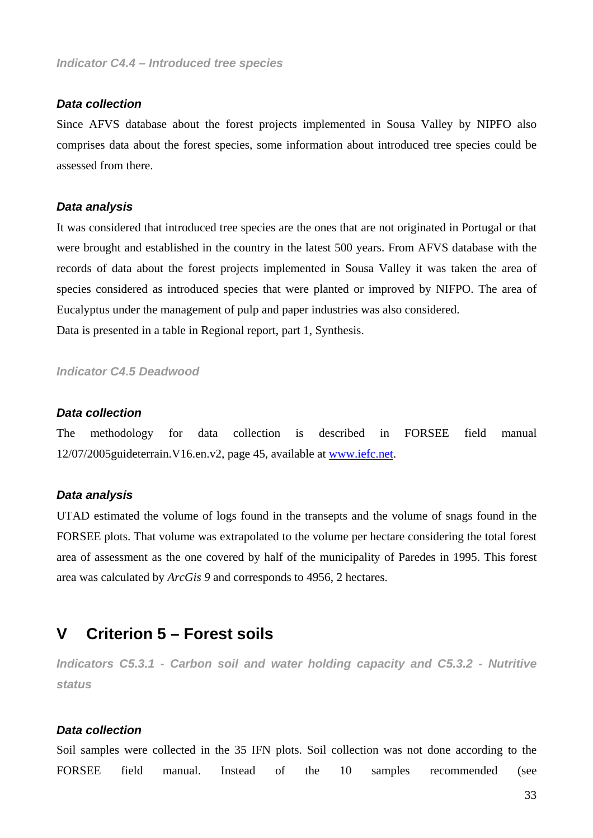#### *Data collection*

Since AFVS database about the forest projects implemented in Sousa Valley by NIPFO also comprises data about the forest species, some information about introduced tree species could be assessed from there.

#### *Data analysis*

It was considered that introduced tree species are the ones that are not originated in Portugal or that were brought and established in the country in the latest 500 years. From AFVS database with the records of data about the forest projects implemented in Sousa Valley it was taken the area of species considered as introduced species that were planted or improved by NIFPO. The area of Eucalyptus under the management of pulp and paper industries was also considered. Data is presented in a table in Regional report, part 1, Synthesis.

*Indicator C4.5 Deadwood* 

#### *Data collection*

The methodology for data collection is described in FORSEE field manual 12/07/2005guideterrain.V16.en.v2, page 45, available at www.iefc.net.

#### *Data analysis*

UTAD estimated the volume of logs found in the transepts and the volume of snags found in the FORSEE plots. That volume was extrapolated to the volume per hectare considering the total forest area of assessment as the one covered by half of the municipality of Paredes in 1995. This forest area was calculated by *ArcGis 9* and corresponds to 4956, 2 hectares.

# **V Criterion 5 – Forest soils**

*Indicators C5.3.1 - Carbon soil and water holding capacity and C5.3.2 - Nutritive status* 

#### *Data collection*

Soil samples were collected in the 35 IFN plots. Soil collection was not done according to the FORSEE field manual. Instead of the 10 samples recommended (see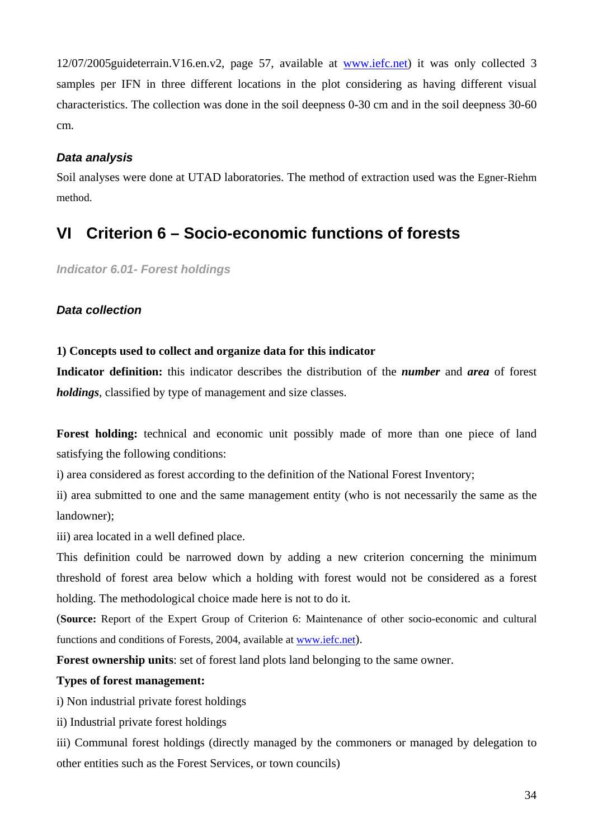12/07/2005guideterrain.V16.en.v2, page 57, available at www.iefc.net) it was only collected 3 samples per IFN in three different locations in the plot considering as having different visual characteristics. The collection was done in the soil deepness 0-30 cm and in the soil deepness 30-60 cm.

# *Data analysis*

Soil analyses were done at UTAD laboratories. The method of extraction used was the Egner-Riehm method.

# **VI Criterion 6 – Socio-economic functions of forests**

*Indicator 6.01- Forest holdings* 

# *Data collection*

# **1) Concepts used to collect and organize data for this indicator**

**Indicator definition:** this indicator describes the distribution of the *number* and *area* of forest *holdings*, classified by type of management and size classes.

**Forest holding:** technical and economic unit possibly made of more than one piece of land satisfying the following conditions:

i) area considered as forest according to the definition of the National Forest Inventory;

ii) area submitted to one and the same management entity (who is not necessarily the same as the landowner);

iii) area located in a well defined place.

This definition could be narrowed down by adding a new criterion concerning the minimum threshold of forest area below which a holding with forest would not be considered as a forest holding. The methodological choice made here is not to do it.

(**Source:** Report of the Expert Group of Criterion 6: Maintenance of other socio-economic and cultural functions and conditions of Forests, 2004, available at www.iefc.net).

**Forest ownership units**: set of forest land plots land belonging to the same owner.

# **Types of forest management:**

i) Non industrial private forest holdings

ii) Industrial private forest holdings

iii) Communal forest holdings (directly managed by the commoners or managed by delegation to other entities such as the Forest Services, or town councils)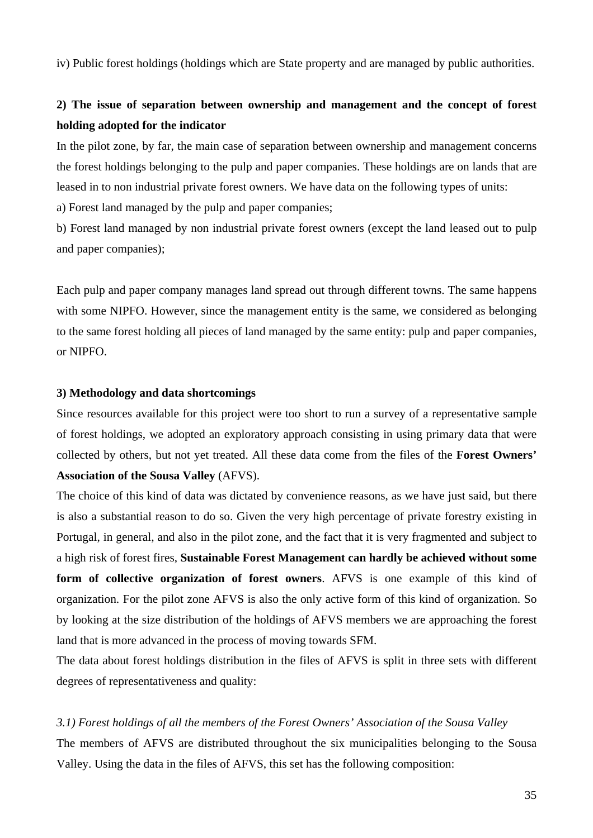iv) Public forest holdings (holdings which are State property and are managed by public authorities.

# **2) The issue of separation between ownership and management and the concept of forest holding adopted for the indicator**

In the pilot zone, by far, the main case of separation between ownership and management concerns the forest holdings belonging to the pulp and paper companies. These holdings are on lands that are leased in to non industrial private forest owners. We have data on the following types of units: a) Forest land managed by the pulp and paper companies;

b) Forest land managed by non industrial private forest owners (except the land leased out to pulp and paper companies);

Each pulp and paper company manages land spread out through different towns. The same happens with some NIPFO. However, since the management entity is the same, we considered as belonging to the same forest holding all pieces of land managed by the same entity: pulp and paper companies, or NIPFO.

#### **3) Methodology and data shortcomings**

Since resources available for this project were too short to run a survey of a representative sample of forest holdings, we adopted an exploratory approach consisting in using primary data that were collected by others, but not yet treated. All these data come from the files of the **Forest Owners' Association of the Sousa Valley** (AFVS).

The choice of this kind of data was dictated by convenience reasons, as we have just said, but there is also a substantial reason to do so. Given the very high percentage of private forestry existing in Portugal, in general, and also in the pilot zone, and the fact that it is very fragmented and subject to a high risk of forest fires, **Sustainable Forest Management can hardly be achieved without some form of collective organization of forest owners**. AFVS is one example of this kind of organization. For the pilot zone AFVS is also the only active form of this kind of organization. So by looking at the size distribution of the holdings of AFVS members we are approaching the forest land that is more advanced in the process of moving towards SFM.

The data about forest holdings distribution in the files of AFVS is split in three sets with different degrees of representativeness and quality:

#### *3.1) Forest holdings of all the members of the Forest Owners' Association of the Sousa Valley*

The members of AFVS are distributed throughout the six municipalities belonging to the Sousa Valley. Using the data in the files of AFVS, this set has the following composition: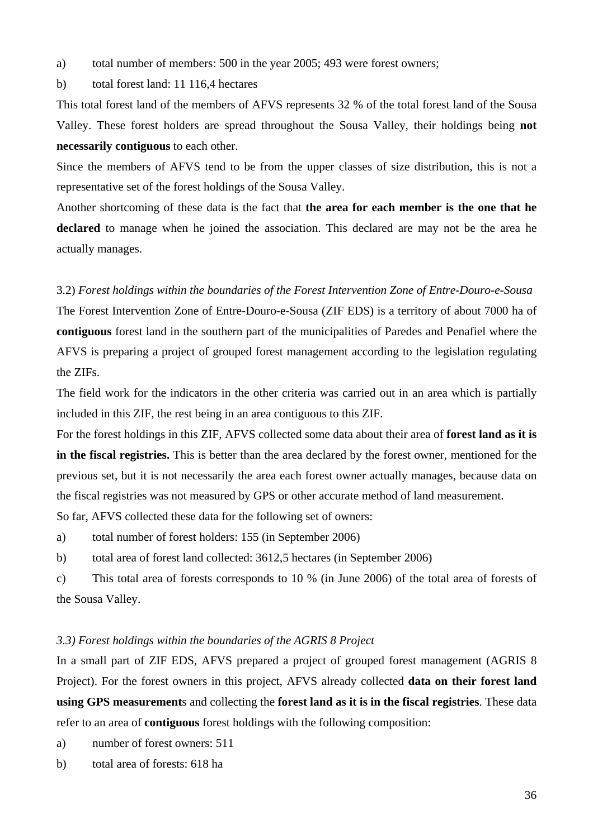- a) total number of members: 500 in the year 2005; 493 were forest owners;
- b) total forest land: 11 116,4 hectares

This total forest land of the members of AFVS represents 32 % of the total forest land of the Sousa Valley. These forest holders are spread throughout the Sousa Valley, their holdings being **not necessarily contiguous** to each other.

Since the members of AFVS tend to be from the upper classes of size distribution, this is not a representative set of the forest holdings of the Sousa Valley.

Another shortcoming of these data is the fact that **the area for each member is the one that he declared** to manage when he joined the association. This declared are may not be the area he actually manages.

#### 3.2) *Forest holdings within the boundaries of the Forest Intervention Zone of Entre-Douro-e-Sousa*

The Forest Intervention Zone of Entre-Douro-e-Sousa (ZIF EDS) is a territory of about 7000 ha of **contiguous** forest land in the southern part of the municipalities of Paredes and Penafiel where the AFVS is preparing a project of grouped forest management according to the legislation regulating the ZIFs.

The field work for the indicators in the other criteria was carried out in an area which is partially included in this ZIF, the rest being in an area contiguous to this ZIF.

For the forest holdings in this ZIF, AFVS collected some data about their area of **forest land as it is in the fiscal registries.** This is better than the area declared by the forest owner, mentioned for the previous set, but it is not necessarily the area each forest owner actually manages, because data on the fiscal registries was not measured by GPS or other accurate method of land measurement.

So far, AFVS collected these data for the following set of owners:

a) total number of forest holders: 155 (in September 2006)

b) total area of forest land collected: 3612,5 hectares (in September 2006)

c) This total area of forests corresponds to 10 % (in June 2006) of the total area of forests of the Sousa Valley.

#### *3.3) Forest holdings within the boundaries of the AGRIS 8 Project*

In a small part of ZIF EDS, AFVS prepared a project of grouped forest management (AGRIS 8 Project). For the forest owners in this project, AFVS already collected **data on their forest land using GPS measurement**s and collecting the **forest land as it is in the fiscal registries**. These data refer to an area of **contiguous** forest holdings with the following composition:

a) number of forest owners: 511

b) total area of forests: 618 ha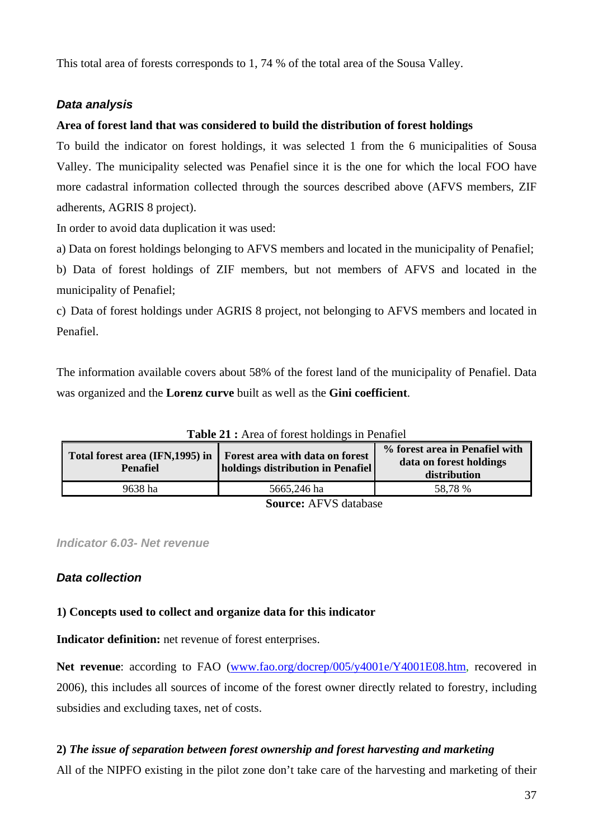This total area of forests corresponds to 1, 74 % of the total area of the Sousa Valley.

# *Data analysis*

# **Area of forest land that was considered to build the distribution of forest holdings**

To build the indicator on forest holdings, it was selected 1 from the 6 municipalities of Sousa Valley. The municipality selected was Penafiel since it is the one for which the local FOO have more cadastral information collected through the sources described above (AFVS members, ZIF adherents, AGRIS 8 project).

In order to avoid data duplication it was used:

a) Data on forest holdings belonging to AFVS members and located in the municipality of Penafiel;

b) Data of forest holdings of ZIF members, but not members of AFVS and located in the municipality of Penafiel;

c) Data of forest holdings under AGRIS 8 project, not belonging to AFVS members and located in Penafiel.

The information available covers about 58% of the forest land of the municipality of Penafiel. Data was organized and the **Lorenz curve** built as well as the **Gini coefficient**.

| Total forest area (IFN, 1995) in<br><b>Penafiel</b> | Forest area with data on forest<br>holdings distribution in Penafiel | % forest area in Penafiel with<br>data on forest holdings<br>distribution |
|-----------------------------------------------------|----------------------------------------------------------------------|---------------------------------------------------------------------------|
| 9638 ha                                             | 5665,246 ha                                                          | 58,78 %                                                                   |
| <b>Source: AFVS database</b>                        |                                                                      |                                                                           |

**Table 21 :** Area of forest holdings in Penafiel

*Indicator 6.03- Net revenue* 

# *Data collection*

# **1) Concepts used to collect and organize data for this indicator**

**Indicator definition:** net revenue of forest enterprises.

Net revenue: according to FAO (www.fao.org/docrep/005/y4001e/Y4001E08.htm, recovered in 2006), this includes all sources of income of the forest owner directly related to forestry, including subsidies and excluding taxes, net of costs.

# **2)** *The issue of separation between forest ownership and forest harvesting and marketing*

All of the NIPFO existing in the pilot zone don't take care of the harvesting and marketing of their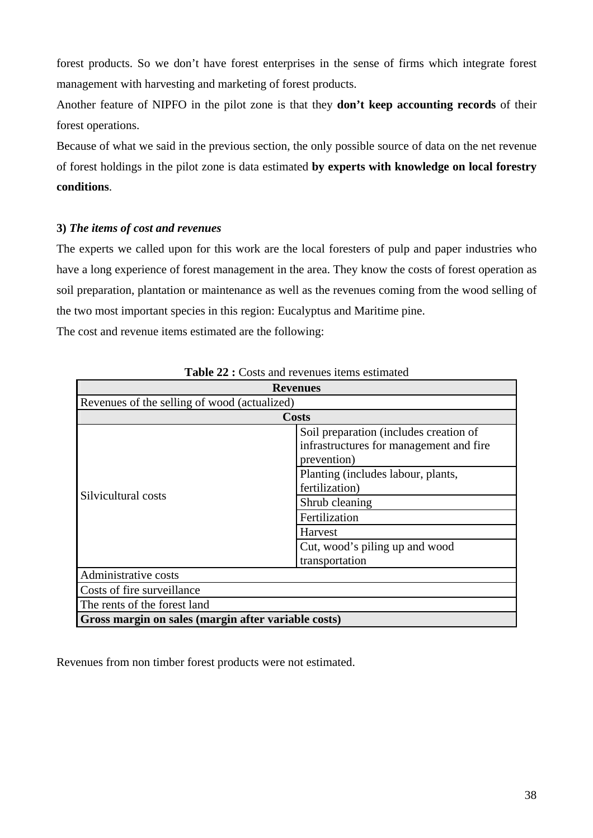forest products. So we don't have forest enterprises in the sense of firms which integrate forest management with harvesting and marketing of forest products.

Another feature of NIPFO in the pilot zone is that they **don't keep accounting records** of their forest operations.

Because of what we said in the previous section, the only possible source of data on the net revenue of forest holdings in the pilot zone is data estimated **by experts with knowledge on local forestry conditions**.

# **3)** *The items of cost and revenues*

The experts we called upon for this work are the local foresters of pulp and paper industries who have a long experience of forest management in the area. They know the costs of forest operation as soil preparation, plantation or maintenance as well as the revenues coming from the wood selling of the two most important species in this region: Eucalyptus and Maritime pine.

The cost and revenue items estimated are the following:

|                                                     | <b>Revenues</b>                         |
|-----------------------------------------------------|-----------------------------------------|
| Revenues of the selling of wood (actualized)        |                                         |
|                                                     | <b>Costs</b>                            |
|                                                     | Soil preparation (includes creation of  |
|                                                     | infrastructures for management and fire |
|                                                     | prevention)                             |
|                                                     | Planting (includes labour, plants,      |
|                                                     | fertilization)                          |
| Silvicultural costs                                 | Shrub cleaning                          |
|                                                     | Fertilization                           |
|                                                     | Harvest                                 |
|                                                     | Cut, wood's piling up and wood          |
|                                                     | transportation                          |
| Administrative costs                                |                                         |
| Costs of fire surveillance                          |                                         |
| The rents of the forest land                        |                                         |
| Gross margin on sales (margin after variable costs) |                                         |

**Table 22 :** Costs and revenues items estimated

Revenues from non timber forest products were not estimated.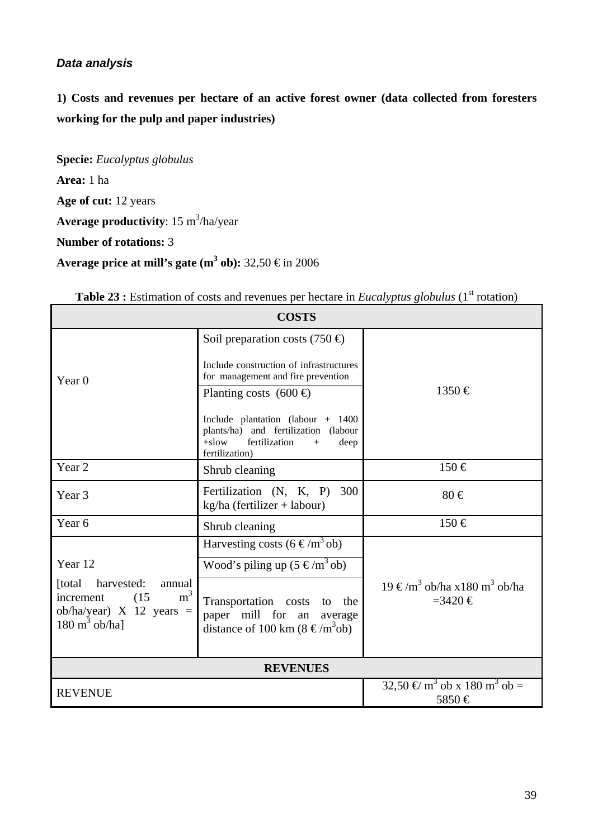# *Data analysis*

**1) Costs and revenues per hectare of an active forest owner (data collected from foresters working for the pulp and paper industries)** 

**Specie:** *Eucalyptus globulus* **Area:** 1 ha **Age of cut:** 12 years Average productivity: 15 m<sup>3</sup>/ha/year **Number of rotations:** 3

**Average price at mill's gate**  $(m^3 \text{ ob})$ **: 32,50 € in 2006** 

| <b>COSTS</b>                                                                                                                         |                                                                                                                                                                                                            |                                                                    |  |
|--------------------------------------------------------------------------------------------------------------------------------------|------------------------------------------------------------------------------------------------------------------------------------------------------------------------------------------------------------|--------------------------------------------------------------------|--|
| Year <sub>0</sub>                                                                                                                    | Soil preparation costs (750 $\oplus$ )<br>Include construction of infrastructures<br>for management and fire prevention                                                                                    | $1350 \in$                                                         |  |
|                                                                                                                                      | Planting costs $(600 \oplus$<br>Include plantation (labour $+$ 1400<br>plants/ha) and fertilization (labour<br>fertilization<br>$+$ slow<br>deep<br>$+$<br>fertilization)                                  |                                                                    |  |
| Year <sub>2</sub>                                                                                                                    | Shrub cleaning                                                                                                                                                                                             | $150 \in$                                                          |  |
| Year <sub>3</sub>                                                                                                                    | Fertilization (N, K, P) 300<br>$kg/ha$ (fertilizer + labour)                                                                                                                                               | $80 \in$                                                           |  |
| Year <sub>6</sub>                                                                                                                    | Shrub cleaning                                                                                                                                                                                             | 150 €                                                              |  |
| Year 12<br>[total harvested:<br>annual<br>m <sup>3</sup><br>increment (15)<br>ob/ha/year) $X$ 12 years =<br>$180 \text{ m}^3$ ob/ha] | Harvesting costs (6 $\in$ /m <sup>3</sup> ob)<br>Wood's piling up $(5 \in /m^3 \text{ ob})$<br>Transportation costs to the<br>paper mill for an average<br>distance of 100 km ( $8 \text{ } \in / m^3$ ob) | 19 €/m <sup>3</sup> ob/ha x180 m <sup>3</sup> ob/ha<br>$=3420 \in$ |  |
|                                                                                                                                      | <b>REVENUES</b>                                                                                                                                                                                            |                                                                    |  |
| <b>REVENUE</b>                                                                                                                       |                                                                                                                                                                                                            | 32,50 € m <sup>3</sup> ob x 180 m <sup>3</sup> ob =<br>5850€       |  |

| <b>Table 23 :</b> Estimation of costs and revenues per hectare in <i>Eucalyptus globulus</i> ( $1st$ rotation) |  |  |  |
|----------------------------------------------------------------------------------------------------------------|--|--|--|
|                                                                                                                |  |  |  |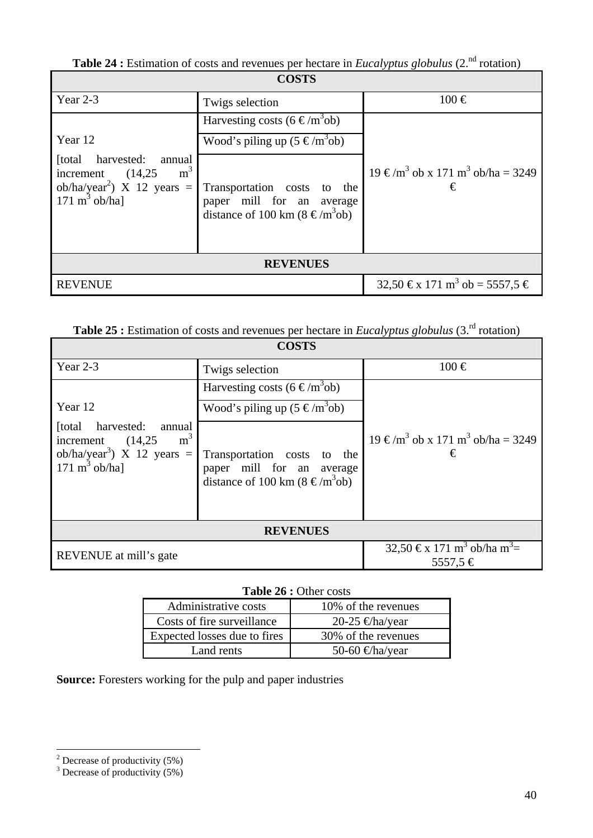**Table 24 :** Estimation of costs and revenues per hectare in *Eucalyptus globulus* (2.<sup>nd</sup> rotation)

| <b>COSTS</b>                                                                                                                                   |                                                                                                             |                                                               |
|------------------------------------------------------------------------------------------------------------------------------------------------|-------------------------------------------------------------------------------------------------------------|---------------------------------------------------------------|
| Year 2-3                                                                                                                                       | Twigs selection                                                                                             | $100 \in$                                                     |
|                                                                                                                                                | Harvesting costs (6 $\in$ /m <sup>3</sup> ob)                                                               |                                                               |
| Year 12                                                                                                                                        | Wood's piling up $(5 \in /m^3$ ob)                                                                          |                                                               |
| harvested:<br>[total]<br>annual<br>m <sup>3</sup><br>increment $(14,25)$<br>ob/ha/year <sup>2</sup> ) X 12 years =<br>$171 \text{ m}^3$ ob/ha] | Transportation costs to the<br>paper mill for an average<br>distance of 100 km ( $8 \text{ } \in / m^3$ ob) | 19 €/m <sup>3</sup> ob x 171 m <sup>3</sup> ob/ha = 3249<br>€ |
| <b>REVENUES</b>                                                                                                                                |                                                                                                             |                                                               |
| <b>REVENUE</b>                                                                                                                                 |                                                                                                             | 32,50 €x 171 m <sup>3</sup> ob = 5557,5 €                     |

| <b>Table 25 :</b> Estimation of costs and revenues per hectare in <i>Eucalyptus globulus</i> (3. <sup>rd</sup> rotation) |  |  |
|--------------------------------------------------------------------------------------------------------------------------|--|--|
|--------------------------------------------------------------------------------------------------------------------------|--|--|

| <b>COSTS</b>                                                                                                                                   |                                                                                                             |                                                                |
|------------------------------------------------------------------------------------------------------------------------------------------------|-------------------------------------------------------------------------------------------------------------|----------------------------------------------------------------|
| Year 2-3                                                                                                                                       | Twigs selection                                                                                             | $100 \in$                                                      |
|                                                                                                                                                | Harvesting costs (6 $\in$ /m <sup>3</sup> ob)                                                               |                                                                |
| Year 12                                                                                                                                        | Wood's piling up $(5 \in /m^3$ ob)                                                                          |                                                                |
| harvested:<br>[total]<br>annual<br>m <sup>3</sup><br>increment $(14,25)$<br>ob/ha/year <sup>3</sup> ) X 12 years =<br>$171 \text{ m}^3$ ob/ha] | Transportation costs to the<br>paper mill for an average<br>distance of 100 km ( $8 \text{ } \in / m^3$ ob) | 19 €/m <sup>3</sup> ob x 171 m <sup>3</sup> ob/ha = 3249<br>€  |
| <b>REVENUES</b>                                                                                                                                |                                                                                                             |                                                                |
| REVENUE at mill's gate                                                                                                                         |                                                                                                             | 32,50 €x 171 m <sup>3</sup> ob/ha m <sup>3</sup> =<br>5557,5 € |

# Table 26 : Other costs

| Administrative costs         | 10\% of the revenues |
|------------------------------|----------------------|
| Costs of fire surveillance   | 20-25 $\in$ ha/year  |
| Expected losses due to fires | 30% of the revenues  |
| Land rents                   | 50-60 $\in$ ha/year  |

**Source:** Foresters working for the pulp and paper industries

<sup>&</sup>lt;sup>2</sup> Decrease of productivity (5%)<sup>3</sup> Decrease of productivity (5%)<sup>3</sup>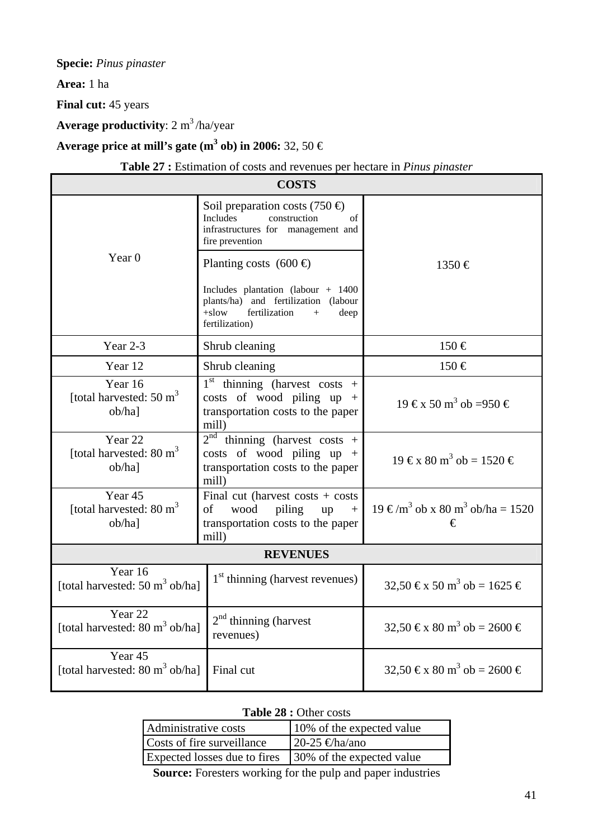**Specie:** *Pinus pinaster* 

**Area:** 1 ha

**Final cut:** 45 years

**Average productivity**: 2 m<sup>3</sup>/ha/year

Average price at mill's gate  $(\text{m}^3 \text{ ob})$  in 2006: 32, 50  $\in$ 

**Table 27 :** Estimation of costs and revenues per hectare in *Pinus pinaster*

| <b>COSTS</b>                                                    |                                                                                                                                                |                                                            |
|-----------------------------------------------------------------|------------------------------------------------------------------------------------------------------------------------------------------------|------------------------------------------------------------|
|                                                                 | Soil preparation costs (750 $\oplus$<br><b>Includes</b><br>construction<br>$\sigma$ f<br>infrastructures for management and<br>fire prevention |                                                            |
| Year $0$                                                        | Planting costs $(600 \oplus$                                                                                                                   | $1350 \in$                                                 |
|                                                                 | Includes plantation (labour $+$ 1400<br>plants/ha) and fertilization (labour<br>fertilization<br>$+$ slow<br>deep<br>$^{+}$<br>fertilization)  |                                                            |
| Year $2-3$                                                      | Shrub cleaning                                                                                                                                 | $150 \in$                                                  |
| Year 12                                                         | Shrub cleaning                                                                                                                                 | $150 \in$                                                  |
| Year 16<br>[total harvested: $50 \text{ m}^3$<br>ob/ha]         | $1st$ thinning (harvest costs +<br>costs of wood piling $up +$<br>transportation costs to the paper<br>mill)                                   | $19 \text{ } \infty 50 \text{ m}^3$ ob =950 €              |
| Year 22<br>[total harvested: $80 \text{ m}^3$<br>ob/ha]         | $2^{nd}$ thinning (harvest costs +<br>costs of wood piling up $+$<br>transportation costs to the paper<br>mill)                                | $19 \text{ } \infty 80 \text{ m}^3$ ob = 1520 €            |
| Year 45<br>[total harvested: $80 \text{ m}^3$<br>$ob/ha$ ]      | Final cut (harvest costs $+$ costs<br>of<br>wood<br>piling<br>$\,+\,$<br>up<br>transportation costs to the paper<br>mill)                      | $19 \text{€/m}^3$ ob x 80 m <sup>3</sup> ob/ha = 1520<br>€ |
| <b>REVENUES</b>                                                 |                                                                                                                                                |                                                            |
| Year 16<br>[total harvested: $50 \text{ m}^3$ ob/ha]            | $1st$ thinning (harvest revenues)                                                                                                              | 32,50 €x 50 m <sup>3</sup> ob = 1625 €                     |
| Year <sub>22</sub><br>[total harvested: $80 \text{ m}^3$ ob/ha] | $2nd$ thinning (harvest<br>revenues)                                                                                                           | 32,50 €x 80 m <sup>3</sup> ob = 2600 €                     |
| Year <sub>45</sub><br>[total harvested: $80 \text{ m}^3$ ob/ha] | Final cut                                                                                                                                      | 32,50 €x 80 m <sup>3</sup> ob = 2600 €                     |

|  | <b>Table 28 : Other costs</b> |
|--|-------------------------------|
|--|-------------------------------|

| Administrative costs         | 10% of the expected value |
|------------------------------|---------------------------|
| Costs of fire surveillance   | 20-25 €ha/ano             |
| Expected losses due to fires | 30% of the expected value |
|                              |                           |

**Source:** Foresters working for the pulp and paper industries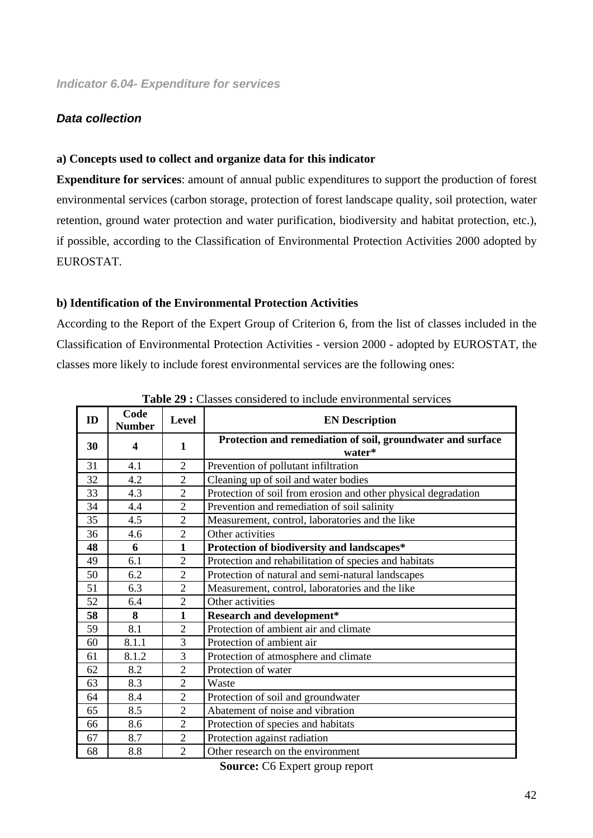#### *Data collection*

#### **a) Concepts used to collect and organize data for this indicator**

**Expenditure for services**: amount of annual public expenditures to support the production of forest environmental services (carbon storage, protection of forest landscape quality, soil protection, water retention, ground water protection and water purification, biodiversity and habitat protection, etc.), if possible, according to the Classification of Environmental Protection Activities 2000 adopted by EUROSTAT.

#### **b) Identification of the Environmental Protection Activities**

According to the Report of the Expert Group of Criterion 6, from the list of classes included in the Classification of Environmental Protection Activities - version 2000 - adopted by EUROSTAT, the classes more likely to include forest environmental services are the following ones:

| ID | Code<br><b>Number</b> | Level          | <b>EN Description</b>                                                 |
|----|-----------------------|----------------|-----------------------------------------------------------------------|
| 30 | 4                     | 1              | Protection and remediation of soil, groundwater and surface<br>water* |
| 31 | 4.1                   | $\overline{2}$ | Prevention of pollutant infiltration                                  |
| 32 | 4.2                   | $\overline{2}$ | Cleaning up of soil and water bodies                                  |
| 33 | 4.3                   | $\overline{2}$ | Protection of soil from erosion and other physical degradation        |
| 34 | 4.4                   | $\overline{2}$ | Prevention and remediation of soil salinity                           |
| 35 | 4.5                   | $\overline{2}$ | Measurement, control, laboratories and the like                       |
| 36 | 4.6                   | $\overline{2}$ | Other activities                                                      |
| 48 | 6                     | $\mathbf{1}$   | Protection of biodiversity and landscapes*                            |
| 49 | 6.1                   | $\overline{2}$ | Protection and rehabilitation of species and habitats                 |
| 50 | 6.2                   | $\overline{2}$ | Protection of natural and semi-natural landscapes                     |
| 51 | 6.3                   | $\overline{2}$ | Measurement, control, laboratories and the like                       |
| 52 | 6.4                   | $\overline{2}$ | Other activities                                                      |
| 58 | 8                     | $\mathbf{1}$   | <b>Research and development*</b>                                      |
| 59 | 8.1                   | $\overline{2}$ | Protection of ambient air and climate                                 |
| 60 | 8.1.1                 | 3              | Protection of ambient air                                             |
| 61 | 8.1.2                 | 3              | Protection of atmosphere and climate                                  |
| 62 | 8.2                   | $\overline{2}$ | Protection of water                                                   |
| 63 | 8.3                   | $\overline{2}$ | Waste                                                                 |
| 64 | 8.4                   | $\overline{2}$ | Protection of soil and groundwater                                    |
| 65 | 8.5                   | $\overline{2}$ | Abatement of noise and vibration                                      |
| 66 | 8.6                   | $\overline{2}$ | Protection of species and habitats                                    |
| 67 | 8.7                   | $\overline{2}$ | Protection against radiation                                          |
| 68 | 8.8                   | $\overline{2}$ | Other research on the environment                                     |

**Table 29 :** Classes considered to include environmental services

**Source:** C6 Expert group report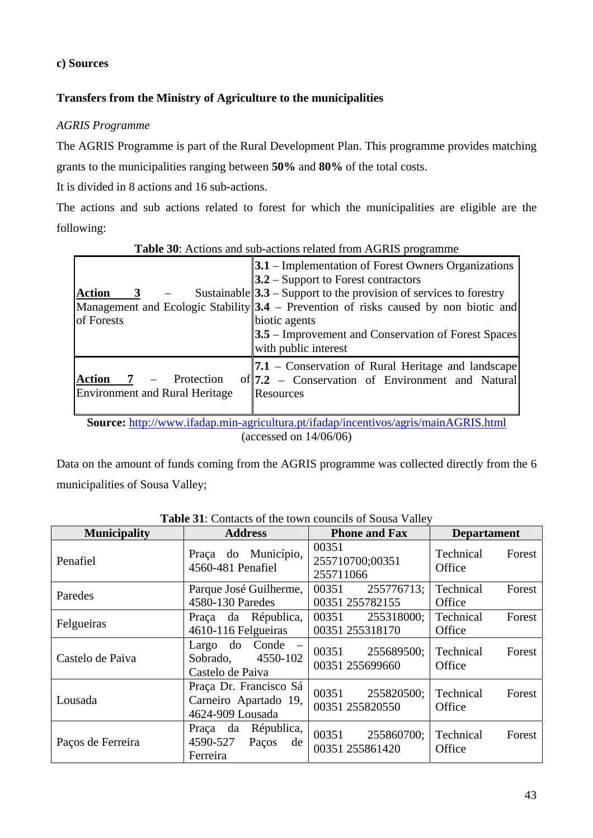#### **c) Sources**

# **Transfers from the Ministry of Agriculture to the municipalities**

# *AGRIS Programme*

The AGRIS Programme is part of the Rural Development Plan. This programme provides matching grants to the municipalities ranging between **50%** and **80%** of the total costs.

It is divided in 8 actions and 16 sub-actions.

The actions and sub actions related to forest for which the municipalities are eligible are the following:

| <b>Action</b><br>of Forests                                                                                                                              | $3.1$ – Implementation of Forest Owners Organizations<br>$3.2$ – Support to Forest contractors<br>Sustainable $ 3.3 -$ Support to the provision of services to forestry<br>Management and Ecologic Stability $3.4$ – Prevention of risks caused by non biotic and<br>biotic agents<br><b>3.5</b> – Improvement and Conservation of Forest Spaces<br>with public interest |  |  |  |  |
|----------------------------------------------------------------------------------------------------------------------------------------------------------|--------------------------------------------------------------------------------------------------------------------------------------------------------------------------------------------------------------------------------------------------------------------------------------------------------------------------------------------------------------------------|--|--|--|--|
| $Action \quad 7 \quad -$<br>Protection<br><b>Environment and Rural Heritage</b>                                                                          | <b>7.1</b> – Conservation of Rural Heritage and landscape<br>of 7.2 - Conservation of Environment and Natural<br><b>Resources</b>                                                                                                                                                                                                                                        |  |  |  |  |
| <b>Source:</b> $\frac{http://www.ifadan min-aoricultura nt/ifadan/incentivos/agris/main AGRIS.html}{http://www.ifadan.incentivos/agris/main AGRIS.html}$ |                                                                                                                                                                                                                                                                                                                                                                          |  |  |  |  |

**Table 30**: Actions and sub-actions related from AGRIS programme

**Source:** http://www.ifadap.min-agricultura.pt/ifadap/incentivos/agris/mainAGRIS.html (accessed on 14/06/06)

Data on the amount of funds coming from the AGRIS programme was collected directly from the 6 municipalities of Sousa Valley;

| <b>Municipality</b> | <b>Address</b>                                                      | <b>Phone and Fax</b>                   | <b>Departament</b>            |  |
|---------------------|---------------------------------------------------------------------|----------------------------------------|-------------------------------|--|
| Penafiel            | Praça do Município,<br>4560-481 Penafiel                            | 00351<br>255710700;00351<br>255711066  | Technical<br>Forest<br>Office |  |
| Paredes             | Parque José Guilherme,<br>4580-130 Paredes                          | 00351<br>255776713;<br>00351 255782155 | Technical<br>Forest<br>Office |  |
| Felgueiras          | Praça da Républica,<br>4610-116 Felgueiras                          | 00351<br>255318000;<br>00351 255318170 | Technical<br>Forest<br>Office |  |
| Castelo de Paiva    | Largo do Conde –<br>4550-102<br>Sobrado.<br>Castelo de Paiva        | 255689500;<br>00351<br>00351 255699660 | Technical<br>Forest<br>Office |  |
| Lousada             | Praça Dr. Francisco Sá<br>Carneiro Apartado 19,<br>4624-909 Lousada | 00351<br>255820500;<br>00351 255820550 | Technical<br>Forest<br>Office |  |
| Paços de Ferreira   | Praça da Républica,<br>4590-527<br>Paços<br>de<br>Ferreira          | 00351<br>255860700;<br>00351 255861420 | Technical<br>Forest<br>Office |  |

**Table 31**: Contacts of the town councils of Sousa Valley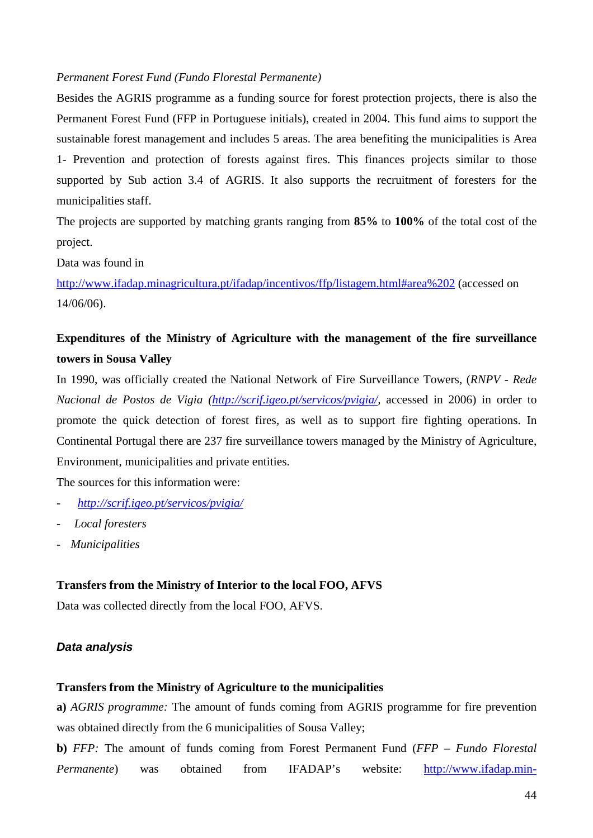#### *Permanent Forest Fund (Fundo Florestal Permanente)*

Besides the AGRIS programme as a funding source for forest protection projects, there is also the Permanent Forest Fund (FFP in Portuguese initials), created in 2004. This fund aims to support the sustainable forest management and includes 5 areas. The area benefiting the municipalities is Area 1- Prevention and protection of forests against fires. This finances projects similar to those supported by Sub action 3.4 of AGRIS. It also supports the recruitment of foresters for the municipalities staff.

The projects are supported by matching grants ranging from **85%** to **100%** of the total cost of the project.

Data was found in

http://www.ifadap.minagricultura.pt/ifadap/incentivos/ffp/listagem.html#area%202 (accessed on 14/06/06).

# **Expenditures of the Ministry of Agriculture with the management of the fire surveillance towers in Sousa Valley**

In 1990, was officially created the National Network of Fire Surveillance Towers, (*RNPV - Rede Nacional de Postos de Vigia (http://scrif.igeo.pt/servicos/pvigia/,* accessed in 2006) in order to promote the quick detection of forest fires, as well as to support fire fighting operations. In Continental Portugal there are 237 fire surveillance towers managed by the Ministry of Agriculture, Environment, municipalities and private entities.

The sources for this information were:

- *http://scrif.igeo.pt/servicos/pvigia/*
- *Local foresters*
- *Municipalities*

#### **Transfers from the Ministry of Interior to the local FOO, AFVS**

Data was collected directly from the local FOO, AFVS.

# *Data analysis*

#### **Transfers from the Ministry of Agriculture to the municipalities**

**a)** *AGRIS programme:* The amount of funds coming from AGRIS programme for fire prevention was obtained directly from the 6 municipalities of Sousa Valley;

**b)** *FFP:* The amount of funds coming from Forest Permanent Fund (*FFP – Fundo Florestal Permanente*) was obtained from IFADAP's website: http://www.ifadap.min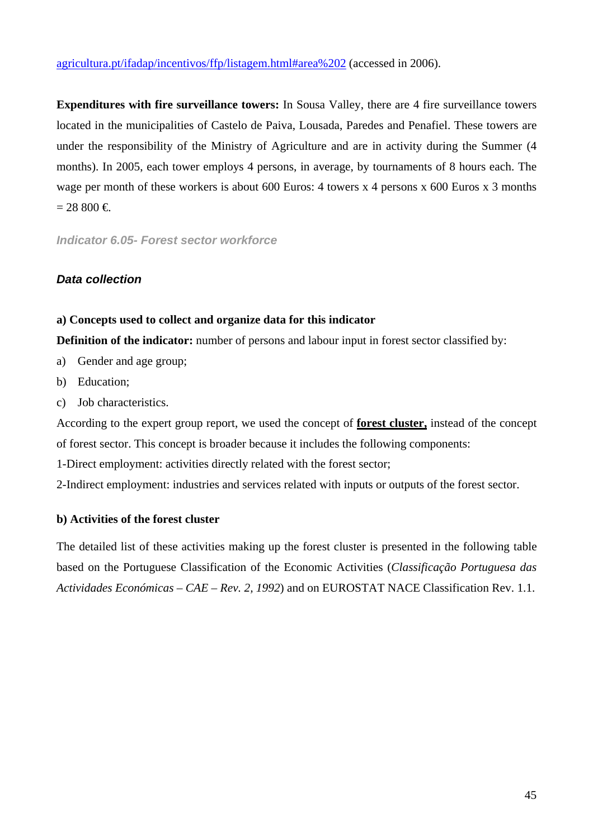agricultura.pt/ifadap/incentivos/ffp/listagem.html#area%202 (accessed in 2006).

**Expenditures with fire surveillance towers:** In Sousa Valley, there are 4 fire surveillance towers located in the municipalities of Castelo de Paiva, Lousada, Paredes and Penafiel. These towers are under the responsibility of the Ministry of Agriculture and are in activity during the Summer (4 months). In 2005, each tower employs 4 persons, in average, by tournaments of 8 hours each. The wage per month of these workers is about 600 Euros: 4 towers x 4 persons x 600 Euros x 3 months  $= 28,800 \in$ 

*Indicator 6.05- Forest sector workforce* 

# *Data collection*

# **a) Concepts used to collect and organize data for this indicator**

**Definition of the indicator:** number of persons and labour input in forest sector classified by:

- a) Gender and age group;
- b) Education;
- c) Job characteristics.

According to the expert group report, we used the concept of **forest cluster,** instead of the concept of forest sector. This concept is broader because it includes the following components:

1-Direct employment: activities directly related with the forest sector;

2-Indirect employment: industries and services related with inputs or outputs of the forest sector.

#### **b) Activities of the forest cluster**

The detailed list of these activities making up the forest cluster is presented in the following table based on the Portuguese Classification of the Economic Activities (*Classificação Portuguesa das Actividades Económicas – CAE – Rev. 2, 1992*) and on EUROSTAT NACE Classification Rev. 1.1.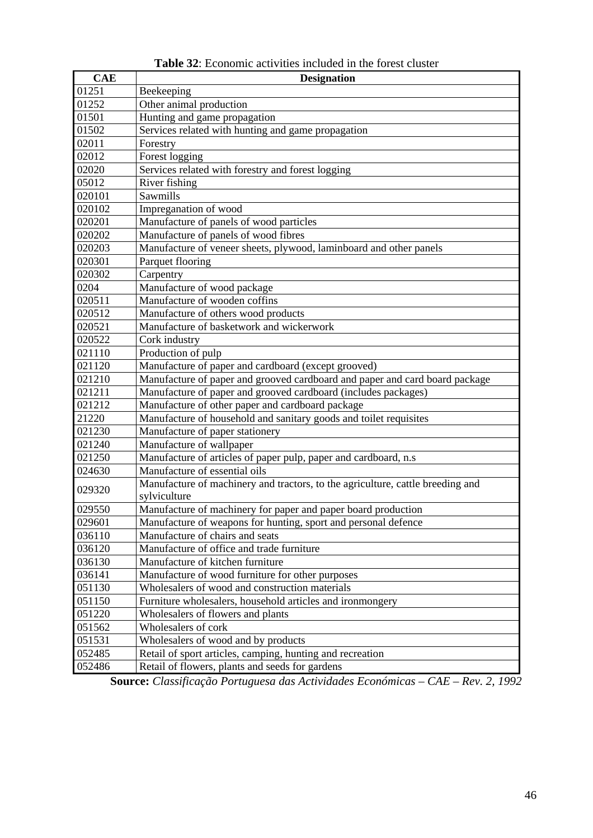| <b>CAE</b> | <b>Designation</b>                                                             |
|------------|--------------------------------------------------------------------------------|
| 01251      | Beekeeping                                                                     |
| 01252      | Other animal production                                                        |
| 01501      | Hunting and game propagation                                                   |
| 01502      | Services related with hunting and game propagation                             |
| 02011      | Forestry                                                                       |
| 02012      | Forest logging                                                                 |
| 02020      | Services related with forestry and forest logging                              |
| 05012      | River fishing                                                                  |
| 020101     | Sawmills                                                                       |
| 020102     | Impreganation of wood                                                          |
| 020201     | Manufacture of panels of wood particles                                        |
| 020202     | Manufacture of panels of wood fibres                                           |
| 020203     | Manufacture of veneer sheets, plywood, laminboard and other panels             |
| 020301     | Parquet flooring                                                               |
| 020302     | Carpentry                                                                      |
| 0204       | Manufacture of wood package                                                    |
| 020511     | Manufacture of wooden coffins                                                  |
| 020512     | Manufacture of others wood products                                            |
| 020521     | Manufacture of basketwork and wickerwork                                       |
| 020522     | Cork industry                                                                  |
| 021110     | Production of pulp                                                             |
| 021120     | Manufacture of paper and cardboard (except grooved)                            |
| 021210     | Manufacture of paper and grooved cardboard and paper and card board package    |
| 021211     | Manufacture of paper and grooved cardboard (includes packages)                 |
| 021212     | Manufacture of other paper and cardboard package                               |
| 21220      | Manufacture of household and sanitary goods and toilet requisites              |
| 021230     | Manufacture of paper stationery                                                |
| 021240     | Manufacture of wallpaper                                                       |
| 021250     | Manufacture of articles of paper pulp, paper and cardboard, n.s                |
| 024630     | Manufacture of essential oils                                                  |
| 029320     | Manufacture of machinery and tractors, to the agriculture, cattle breeding and |
|            | sylviculture                                                                   |
| 029550     | Manufacture of machinery for paper and paper board production                  |
| 029601     | Manufacture of weapons for hunting, sport and personal defence                 |
| 036110     | Manufacture of chairs and seats                                                |
| 036120     | Manufacture of office and trade furniture                                      |
| 036130     | Manufacture of kitchen furniture                                               |
| 036141     | Manufacture of wood furniture for other purposes                               |
| 051130     | Wholesalers of wood and construction materials                                 |
| 051150     | Furniture wholesalers, household articles and ironmongery                      |
| 051220     | Wholesalers of flowers and plants                                              |
| 051562     | Wholesalers of cork                                                            |
| 051531     | Wholesalers of wood and by products                                            |
| 052485     | Retail of sport articles, camping, hunting and recreation                      |
| 052486     | Retail of flowers, plants and seeds for gardens                                |

**Table 32**: Economic activities included in the forest cluster

**Source:** *Classificação Portuguesa das Actividades Económicas – CAE – Rev. 2, 1992*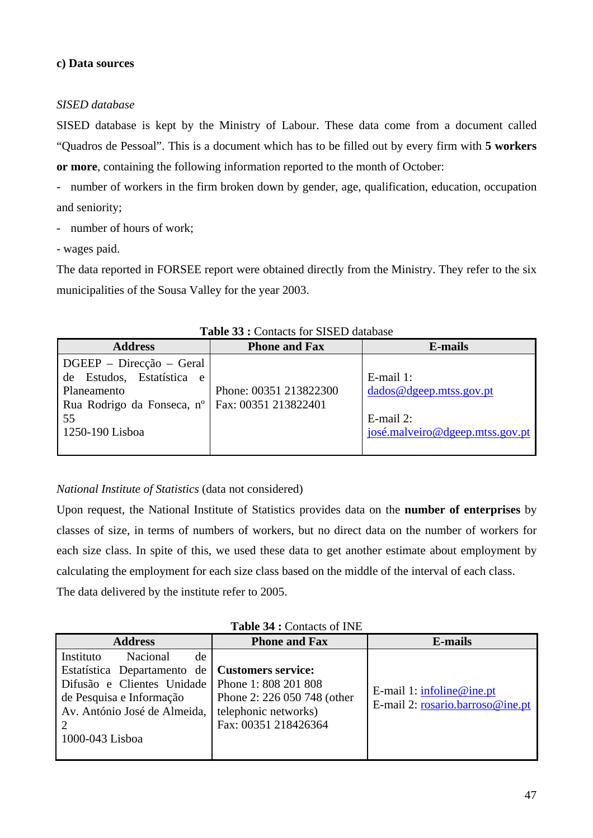#### **c) Data sources**

#### *SISED database*

SISED database is kept by the Ministry of Labour. These data come from a document called "Quadros de Pessoal". This is a document which has to be filled out by every firm with **5 workers or more**, containing the following information reported to the month of October:

- number of workers in the firm broken down by gender, age, qualification, education, occupation and seniority;

- number of hours of work;
- wages paid.

The data reported in FORSEE report were obtained directly from the Ministry. They refer to the six municipalities of the Sousa Valley for the year 2003.

| <b>Address</b>                                                                                                                      | <b>Phone and Fax</b>                           | E-mails                                                                                    |  |  |  |  |  |
|-------------------------------------------------------------------------------------------------------------------------------------|------------------------------------------------|--------------------------------------------------------------------------------------------|--|--|--|--|--|
| $DGEEP - Direcção - Geral$<br>Estudos, Estatística<br>de<br>e<br>Planeamento<br>Rua Rodrigo da Fonseca, nº<br>55<br>1250-190 Lisboa | Phone: 00351 213822300<br>Fax: 00351 213822401 | $E$ -mail 1:<br>dados@dgeep.mtss.gov.pt<br>$E$ -mail 2:<br>josé.malveiro@dgeep.mtss.gov.pt |  |  |  |  |  |

|  |  |  |  |  | <b>Table 33 : Contacts for SISED database</b> |
|--|--|--|--|--|-----------------------------------------------|
|--|--|--|--|--|-----------------------------------------------|

# *National Institute of Statistics* (data not considered)

Upon request, the National Institute of Statistics provides data on the **number of enterprises** by classes of size, in terms of numbers of workers, but no direct data on the number of workers for each size class. In spite of this, we used these data to get another estimate about employment by calculating the employment for each size class based on the middle of the interval of each class. The data delivered by the institute refer to 2005.

| <b>THURE</b> $\cup$ T : Common of H II                                                                                                                                  |                                                                                                                                  |                                                                 |  |  |  |  |  |  |
|-------------------------------------------------------------------------------------------------------------------------------------------------------------------------|----------------------------------------------------------------------------------------------------------------------------------|-----------------------------------------------------------------|--|--|--|--|--|--|
| <b>Address</b>                                                                                                                                                          | <b>Phone and Fax</b>                                                                                                             | <b>E-mails</b>                                                  |  |  |  |  |  |  |
| Instituto<br>Nacional<br>de<br>Estatística Departamento de<br>Difusão e Clientes Unidade<br>de Pesquisa e Informação<br>Av. António José de Almeida,<br>1000-043 Lisboa | <b>Customers service:</b><br>Phone 1: 808 201 808<br>Phone 2: 226 050 748 (other<br>telephonic networks)<br>Fax: 00351 218426364 | E-mail 1: $infoline@ine.pt$<br>E-mail 2: rosario.barroso@ine.pt |  |  |  |  |  |  |

# **Table 34 :** Contacts of INE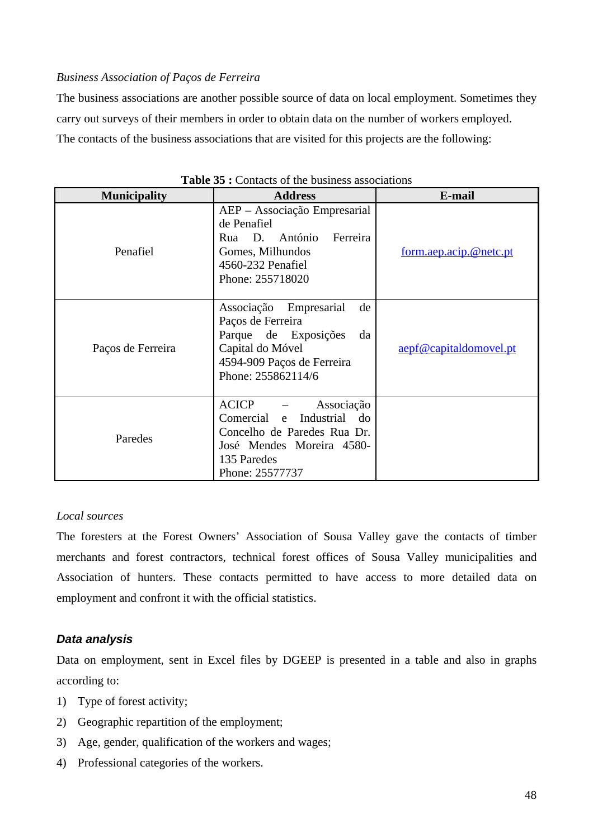#### *Business Association of Paços de Ferreira*

The business associations are another possible source of data on local employment. Sometimes they carry out surveys of their members in order to obtain data on the number of workers employed. The contacts of the business associations that are visited for this projects are the following:

| <b>Municipality</b> | <b>Address</b>                                                                                                                                                         | E-mail                 |
|---------------------|------------------------------------------------------------------------------------------------------------------------------------------------------------------------|------------------------|
| Penafiel            | AEP - Associação Empresarial<br>de Penafiel<br>António<br>Ferreira<br>D.<br>Rua<br>Gomes, Milhundos<br>4560-232 Penafiel<br>Phone: 255718020                           | form.aep.acip.@netc.pt |
| Paços de Ferreira   | Empresarial<br>Associação<br>de<br>Paços de Ferreira<br>Parque de Exposições<br>da<br>Capital do Móvel<br>4594-909 Paços de Ferreira<br>Phone: 255862114/6             | aepf@capitaldomovel.pt |
| Paredes             | <b>ACICP</b><br>Associação<br>Comercial<br>Industrial do<br>$\mathbf{e}$<br>Concelho de Paredes Rua Dr.<br>José Mendes Moreira 4580-<br>135 Paredes<br>Phone: 25577737 |                        |

|  |  |  |  |  |  | <b>Table 35 :</b> Contacts of the business associations |
|--|--|--|--|--|--|---------------------------------------------------------|
|--|--|--|--|--|--|---------------------------------------------------------|

#### *Local sources*

The foresters at the Forest Owners' Association of Sousa Valley gave the contacts of timber merchants and forest contractors, technical forest offices of Sousa Valley municipalities and Association of hunters. These contacts permitted to have access to more detailed data on employment and confront it with the official statistics.

# *Data analysis*

Data on employment, sent in Excel files by DGEEP is presented in a table and also in graphs according to:

- 1) Type of forest activity;
- 2) Geographic repartition of the employment;
- 3) Age, gender, qualification of the workers and wages;
- 4) Professional categories of the workers.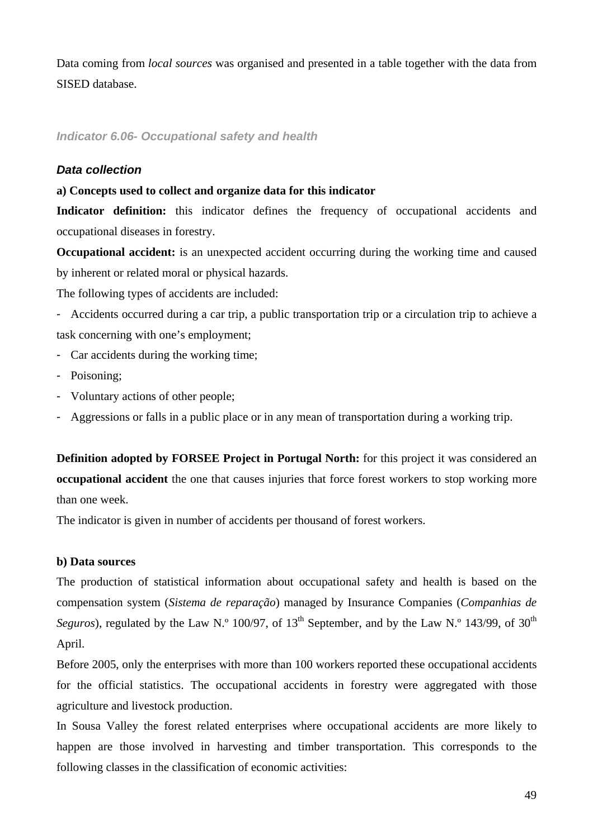Data coming from *local sources* was organised and presented in a table together with the data from SISED database.

# *Indicator 6.06- Occupational safety and health*

#### *Data collection*

#### **a) Concepts used to collect and organize data for this indicator**

Indicator definition: this indicator defines the frequency of occupational accidents and occupational diseases in forestry.

**Occupational accident:** is an unexpected accident occurring during the working time and caused by inherent or related moral or physical hazards.

The following types of accidents are included:

- Accidents occurred during a car trip, a public transportation trip or a circulation trip to achieve a task concerning with one's employment;

- Car accidents during the working time;
- Poisoning;
- Voluntary actions of other people;
- Aggressions or falls in a public place or in any mean of transportation during a working trip.

**Definition adopted by FORSEE Project in Portugal North:** for this project it was considered an **occupational accident** the one that causes injuries that force forest workers to stop working more than one week.

The indicator is given in number of accidents per thousand of forest workers.

#### **b) Data sources**

The production of statistical information about occupational safety and health is based on the compensation system (*Sistema de reparação*) managed by Insurance Companies (*Companhias de Seguros*), regulated by the Law N.<sup>o</sup> 100/97, of 13<sup>th</sup> September, and by the Law N.<sup>o</sup> 143/99, of 30<sup>th</sup> April.

Before 2005, only the enterprises with more than 100 workers reported these occupational accidents for the official statistics. The occupational accidents in forestry were aggregated with those agriculture and livestock production.

In Sousa Valley the forest related enterprises where occupational accidents are more likely to happen are those involved in harvesting and timber transportation. This corresponds to the following classes in the classification of economic activities: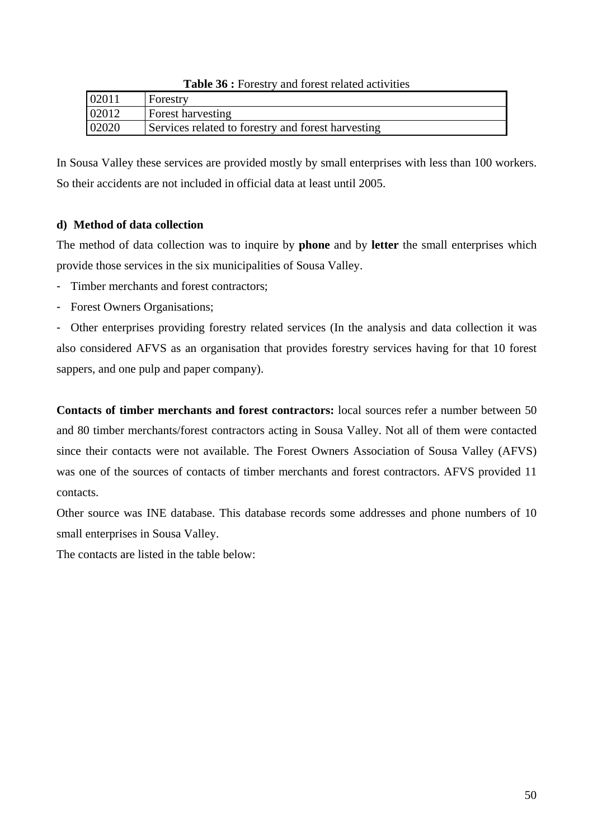|       | $\sim$ which was a contracted to a contract with the set of $\sim$ |
|-------|--------------------------------------------------------------------|
| 02011 | Forestry                                                           |
| 02012 | Forest harvesting                                                  |
| 02020 | Services related to forestry and forest harvesting                 |

**Table 36 :** Forestry and forest related activities

In Sousa Valley these services are provided mostly by small enterprises with less than 100 workers. So their accidents are not included in official data at least until 2005.

# **d) Method of data collection**

The method of data collection was to inquire by **phone** and by **letter** the small enterprises which provide those services in the six municipalities of Sousa Valley.

- Timber merchants and forest contractors;
- Forest Owners Organisations;

- Other enterprises providing forestry related services (In the analysis and data collection it was also considered AFVS as an organisation that provides forestry services having for that 10 forest sappers, and one pulp and paper company).

**Contacts of timber merchants and forest contractors:** local sources refer a number between 50 and 80 timber merchants/forest contractors acting in Sousa Valley. Not all of them were contacted since their contacts were not available. The Forest Owners Association of Sousa Valley (AFVS) was one of the sources of contacts of timber merchants and forest contractors. AFVS provided 11 contacts.

Other source was INE database. This database records some addresses and phone numbers of 10 small enterprises in Sousa Valley.

The contacts are listed in the table below: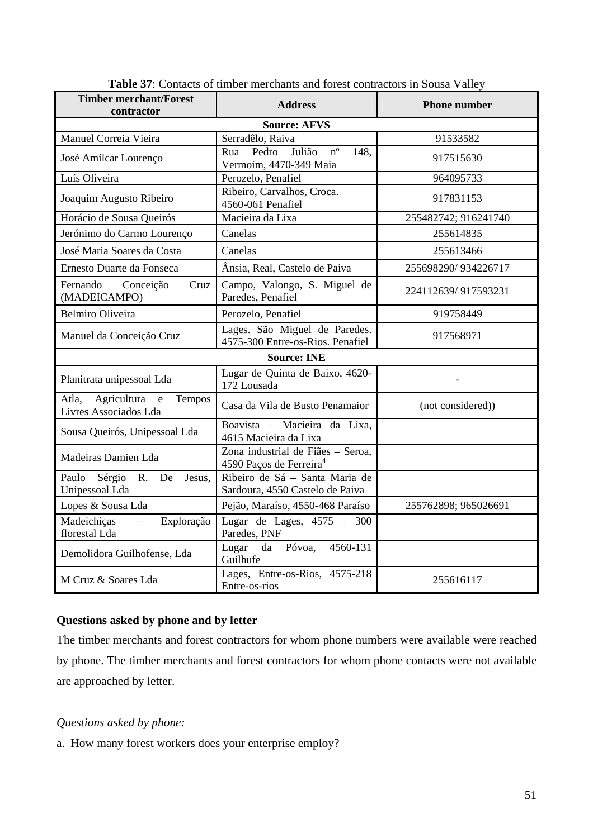| <b>Timber merchant/Forest</b><br>contractor                             | <b>Address</b>                                                           | <b>Phone number</b>  |  |  |  |  |  |  |
|-------------------------------------------------------------------------|--------------------------------------------------------------------------|----------------------|--|--|--|--|--|--|
| <b>Source: AFVS</b>                                                     |                                                                          |                      |  |  |  |  |  |  |
| Manuel Correia Vieira                                                   | Serradêlo, Raiva                                                         | 91533582             |  |  |  |  |  |  |
| José Amílcar Lourenço                                                   | Julião<br>$n^{\circ}$<br>Pedro<br>148.<br>Rua<br>Vermoim, 4470-349 Maia  | 917515630            |  |  |  |  |  |  |
| Luís Oliveira                                                           | Perozelo, Penafiel                                                       | 964095733            |  |  |  |  |  |  |
| Joaquim Augusto Ribeiro                                                 | Ribeiro, Carvalhos, Croca.<br>4560-061 Penafiel                          | 917831153            |  |  |  |  |  |  |
| Horácio de Sousa Queirós                                                | Macieira da Lixa                                                         | 255482742; 916241740 |  |  |  |  |  |  |
| Jerónimo do Carmo Lourenço                                              | Canelas                                                                  | 255614835            |  |  |  |  |  |  |
| José Maria Soares da Costa                                              | Canelas                                                                  | 255613466            |  |  |  |  |  |  |
| Ernesto Duarte da Fonseca                                               | Ânsia, Real, Castelo de Paiva                                            | 255698290/934226717  |  |  |  |  |  |  |
| Fernando<br>Conceição<br>Cruz<br>(MADEICAMPO)                           | Campo, Valongo, S. Miguel de<br>Paredes, Penafiel                        | 224112639/917593231  |  |  |  |  |  |  |
| <b>Belmiro Oliveira</b>                                                 | Perozelo, Penafiel                                                       | 919758449            |  |  |  |  |  |  |
| Manuel da Conceição Cruz                                                | Lages. São Miguel de Paredes.<br>4575-300 Entre-os-Rios. Penafiel        | 917568971            |  |  |  |  |  |  |
|                                                                         | <b>Source: INE</b>                                                       |                      |  |  |  |  |  |  |
| Planitrata unipessoal Lda                                               | Lugar de Quinta de Baixo, 4620-<br>172 Lousada                           |                      |  |  |  |  |  |  |
| Agricultura<br>Atla,<br>$\mathbf{e}$<br>Tempos<br>Livres Associados Lda | Casa da Vila de Busto Penamaior                                          | (not considered))    |  |  |  |  |  |  |
| Sousa Queirós, Unipessoal Lda                                           | Boavista - Macieira da Lixa,<br>4615 Macieira da Lixa                    |                      |  |  |  |  |  |  |
| Madeiras Damien Lda                                                     | Zona industrial de Fiães - Seroa,<br>4590 Paços de Ferreira <sup>4</sup> |                      |  |  |  |  |  |  |
| Paulo Sérgio<br>R. De<br>Jesus,<br>Unipessoal Lda                       | Ribeiro de Sá - Santa Maria de<br>Sardoura, 4550 Castelo de Paiva        |                      |  |  |  |  |  |  |
| Lopes & Sousa Lda                                                       | Pejão, Maraíso, 4550-468 Paraíso                                         | 255762898; 965026691 |  |  |  |  |  |  |
| Madeichiças<br>Exploração<br>$\equiv$<br>florestal Lda                  | Lugar de Lages, $4575 - 300$<br>Paredes, PNF                             |                      |  |  |  |  |  |  |
| Demolidora Guilhofense, Lda                                             | da Póvoa,<br>4560-131<br>Lugar<br>Guilhufe                               |                      |  |  |  |  |  |  |
| M Cruz & Soares Lda                                                     | Lages, Entre-os-Rios, 4575-218<br>255616117<br>Entre-os-rios             |                      |  |  |  |  |  |  |

Table 37: Contacts of timber merchants and forest contractors in Sousa Valley

# **Questions asked by phone and by letter**

The timber merchants and forest contractors for whom phone numbers were available were reached by phone. The timber merchants and forest contractors for whom phone contacts were not available are approached by letter.

# *Questions asked by phone:*

a. How many forest workers does your enterprise employ?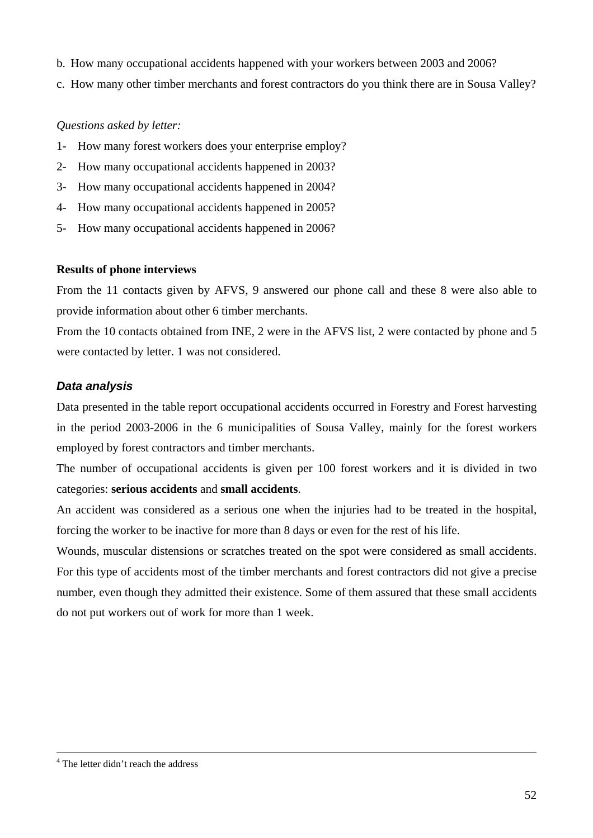- b. How many occupational accidents happened with your workers between 2003 and 2006?
- c. How many other timber merchants and forest contractors do you think there are in Sousa Valley?

# *Questions asked by letter:*

- 1- How many forest workers does your enterprise employ?
- 2- How many occupational accidents happened in 2003?
- 3- How many occupational accidents happened in 2004?
- 4- How many occupational accidents happened in 2005?
- 5- How many occupational accidents happened in 2006?

# **Results of phone interviews**

From the 11 contacts given by AFVS, 9 answered our phone call and these 8 were also able to provide information about other 6 timber merchants.

From the 10 contacts obtained from INE, 2 were in the AFVS list, 2 were contacted by phone and 5 were contacted by letter. 1 was not considered.

# *Data analysis*

Data presented in the table report occupational accidents occurred in Forestry and Forest harvesting in the period 2003-2006 in the 6 municipalities of Sousa Valley, mainly for the forest workers employed by forest contractors and timber merchants.

The number of occupational accidents is given per 100 forest workers and it is divided in two categories: **serious accidents** and **small accidents**.

An accident was considered as a serious one when the injuries had to be treated in the hospital, forcing the worker to be inactive for more than 8 days or even for the rest of his life.

Wounds, muscular distensions or scratches treated on the spot were considered as small accidents. For this type of accidents most of the timber merchants and forest contractors did not give a precise number, even though they admitted their existence. Some of them assured that these small accidents do not put workers out of work for more than 1 week.

 $\frac{1}{4}$ <sup>4</sup> The letter didn't reach the address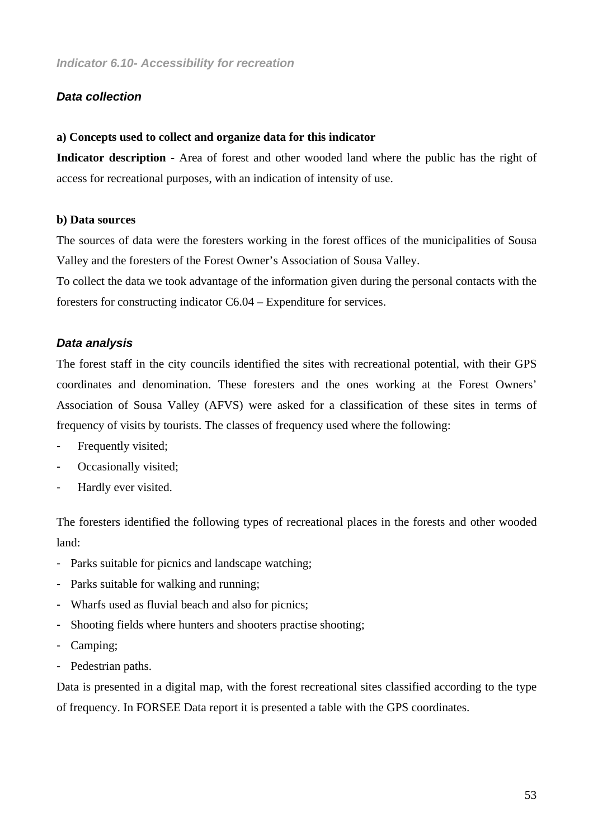#### *Data collection*

#### **a) Concepts used to collect and organize data for this indicator**

**Indicator description -** Area of forest and other wooded land where the public has the right of access for recreational purposes, with an indication of intensity of use.

#### **b) Data sources**

The sources of data were the foresters working in the forest offices of the municipalities of Sousa Valley and the foresters of the Forest Owner's Association of Sousa Valley.

To collect the data we took advantage of the information given during the personal contacts with the foresters for constructing indicator C6.04 – Expenditure for services.

#### *Data analysis*

The forest staff in the city councils identified the sites with recreational potential, with their GPS coordinates and denomination. These foresters and the ones working at the Forest Owners' Association of Sousa Valley (AFVS) were asked for a classification of these sites in terms of frequency of visits by tourists. The classes of frequency used where the following:

- Frequently visited;
- Occasionally visited;
- Hardly ever visited.

The foresters identified the following types of recreational places in the forests and other wooded land:

- Parks suitable for picnics and landscape watching;
- Parks suitable for walking and running;
- Wharfs used as fluvial beach and also for picnics;
- Shooting fields where hunters and shooters practise shooting;
- Camping;
- Pedestrian paths.

Data is presented in a digital map, with the forest recreational sites classified according to the type of frequency. In FORSEE Data report it is presented a table with the GPS coordinates.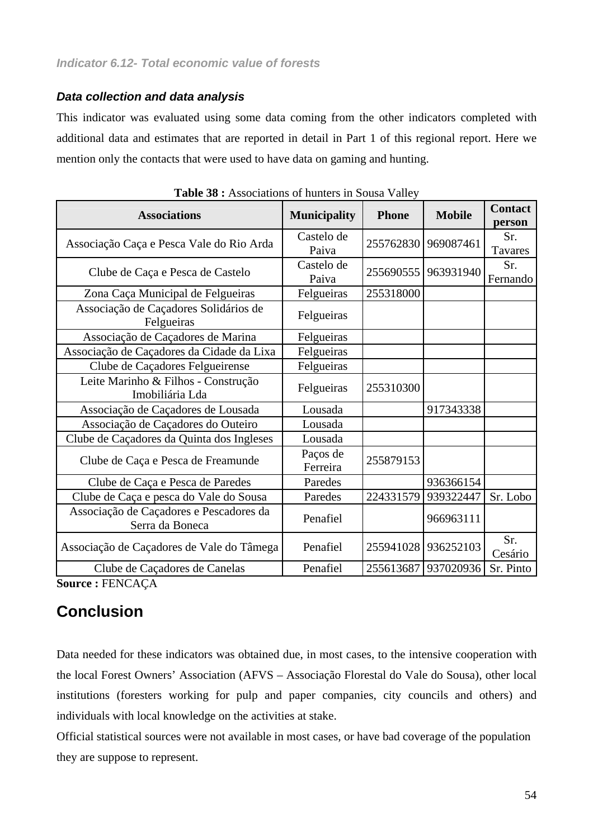# *Data collection and data analysis*

This indicator was evaluated using some data coming from the other indicators completed with additional data and estimates that are reported in detail in Part 1 of this regional report. Here we mention only the contacts that were used to have data on gaming and hunting.

| <b>Associations</b>                                        | <b>Municipality</b>  | <b>Phone</b> | <b>Mobile</b>       | <b>Contact</b><br>person |
|------------------------------------------------------------|----------------------|--------------|---------------------|--------------------------|
| Associação Caça e Pesca Vale do Rio Arda                   | Castelo de<br>Paiva  | 255762830    | 969087461           | Sr.<br>Tavares           |
| Clube de Caça e Pesca de Castelo                           | Castelo de<br>Paiva  | 255690555    | 963931940           | Sr.<br>Fernando          |
| Zona Caça Municipal de Felgueiras                          | Felgueiras           | 255318000    |                     |                          |
| Associação de Caçadores Solidários de<br>Felgueiras        | Felgueiras           |              |                     |                          |
| Associação de Caçadores de Marina                          | Felgueiras           |              |                     |                          |
| Associação de Caçadores da Cidade da Lixa                  | Felgueiras           |              |                     |                          |
| Clube de Caçadores Felgueirense                            | Felgueiras           |              |                     |                          |
| Leite Marinho & Filhos - Construção<br>Imobiliária Lda     | Felgueiras           | 255310300    |                     |                          |
| Associação de Caçadores de Lousada                         | Lousada              |              | 917343338           |                          |
| Associação de Caçadores do Outeiro                         | Lousada              |              |                     |                          |
| Clube de Caçadores da Quinta dos Ingleses                  | Lousada              |              |                     |                          |
| Clube de Caça e Pesca de Freamunde                         | Paços de<br>Ferreira | 255879153    |                     |                          |
| Clube de Caça e Pesca de Paredes                           | Paredes              |              | 936366154           |                          |
| Clube de Caça e pesca do Vale do Sousa                     | Paredes              | 224331579    | 939322447           | Sr. Lobo                 |
| Associação de Caçadores e Pescadores da<br>Serra da Boneca | Penafiel             |              | 966963111           |                          |
| Associação de Caçadores de Vale do Tâmega                  | Penafiel             |              | 255941028 936252103 | Sr.<br>Cesário           |
| Clube de Caçadores de Canelas                              | Penafiel             |              | 255613687 937020936 | Sr. Pinto                |

|  | <b>Table 38 :</b> Associations of hunters in Sousa Valley |  |  |  |
|--|-----------------------------------------------------------|--|--|--|
|--|-----------------------------------------------------------|--|--|--|

**Source :** FENCAÇA

# **Conclusion**

Data needed for these indicators was obtained due, in most cases, to the intensive cooperation with the local Forest Owners' Association (AFVS – Associação Florestal do Vale do Sousa), other local institutions (foresters working for pulp and paper companies, city councils and others) and individuals with local knowledge on the activities at stake.

Official statistical sources were not available in most cases, or have bad coverage of the population they are suppose to represent.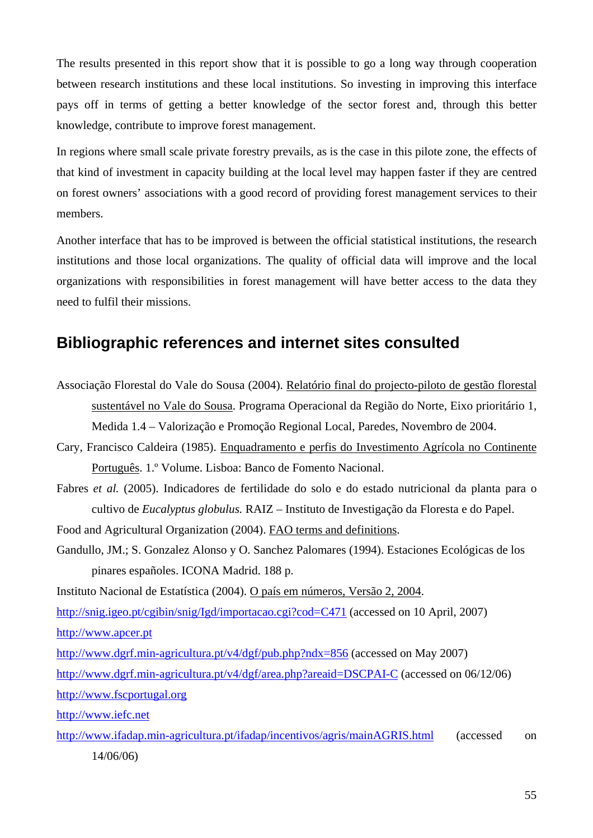The results presented in this report show that it is possible to go a long way through cooperation between research institutions and these local institutions. So investing in improving this interface pays off in terms of getting a better knowledge of the sector forest and, through this better knowledge, contribute to improve forest management.

In regions where small scale private forestry prevails, as is the case in this pilote zone, the effects of that kind of investment in capacity building at the local level may happen faster if they are centred on forest owners' associations with a good record of providing forest management services to their members.

Another interface that has to be improved is between the official statistical institutions, the research institutions and those local organizations. The quality of official data will improve and the local organizations with responsibilities in forest management will have better access to the data they need to fulfil their missions.

# **Bibliographic references and internet sites consulted**

- Associação Florestal do Vale do Sousa (2004). Relatório final do projecto-piloto de gestão florestal sustentável no Vale do Sousa. Programa Operacional da Região do Norte, Eixo prioritário 1, Medida 1.4 – Valorização e Promoção Regional Local, Paredes, Novembro de 2004.
- Cary, Francisco Caldeira (1985). Enquadramento e perfis do Investimento Agrícola no Continente Português. 1.º Volume. Lisboa: Banco de Fomento Nacional.
- Fabres *et al.* (2005). Indicadores de fertilidade do solo e do estado nutricional da planta para o cultivo de *Eucalyptus globulus.* RAIZ – Instituto de Investigação da Floresta e do Papel.

Food and Agricultural Organization (2004). FAO terms and definitions.

Gandullo, JM.; S. Gonzalez Alonso y O. Sanchez Palomares (1994). Estaciones Ecológicas de los pinares españoles. ICONA Madrid. 188 p.

Instituto Nacional de Estatística (2004). O país em números, Versão 2, 2004. http://snig.igeo.pt/cgibin/snig/Igd/importacao.cgi?cod=C471 (accessed on 10 April, 2007) http://www.apcer.pt http://www.dgrf.min-agricultura.pt/v4/dgf/pub.php?ndx=856 (accessed on May 2007)

http://www.dgrf.min-agricultura.pt/v4/dgf/area.php?areaid=DSCPAI-C (accessed on 06/12/06) http://www.fscportugal.org

http://www.iefc.net

http://www.ifadap.min-agricultura.pt/ifadap/incentivos/agris/mainAGRIS.html (accessed on 14/06/06)